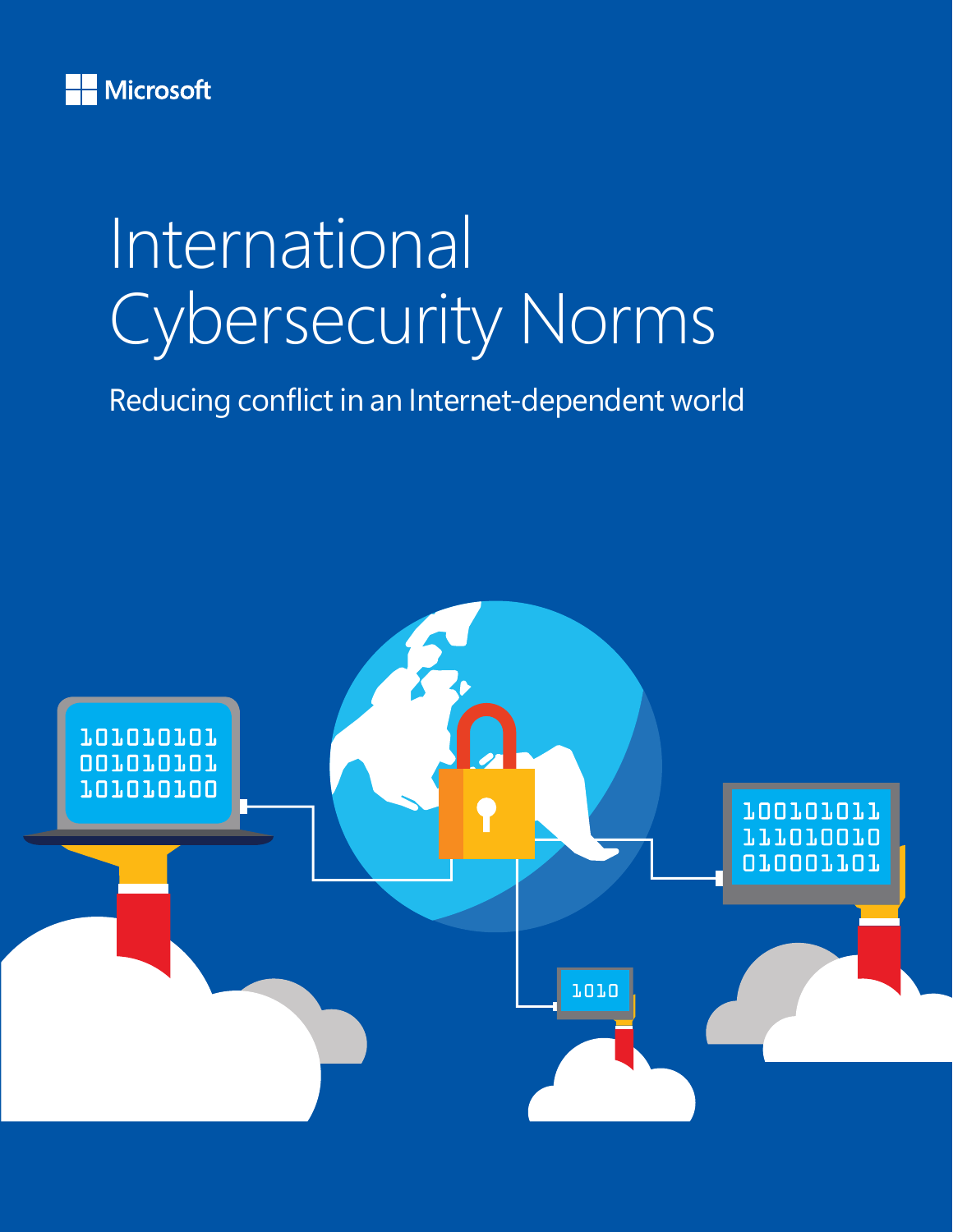

# International Cybersecurity Norms

Reducing conflict in an Internet-dependent world

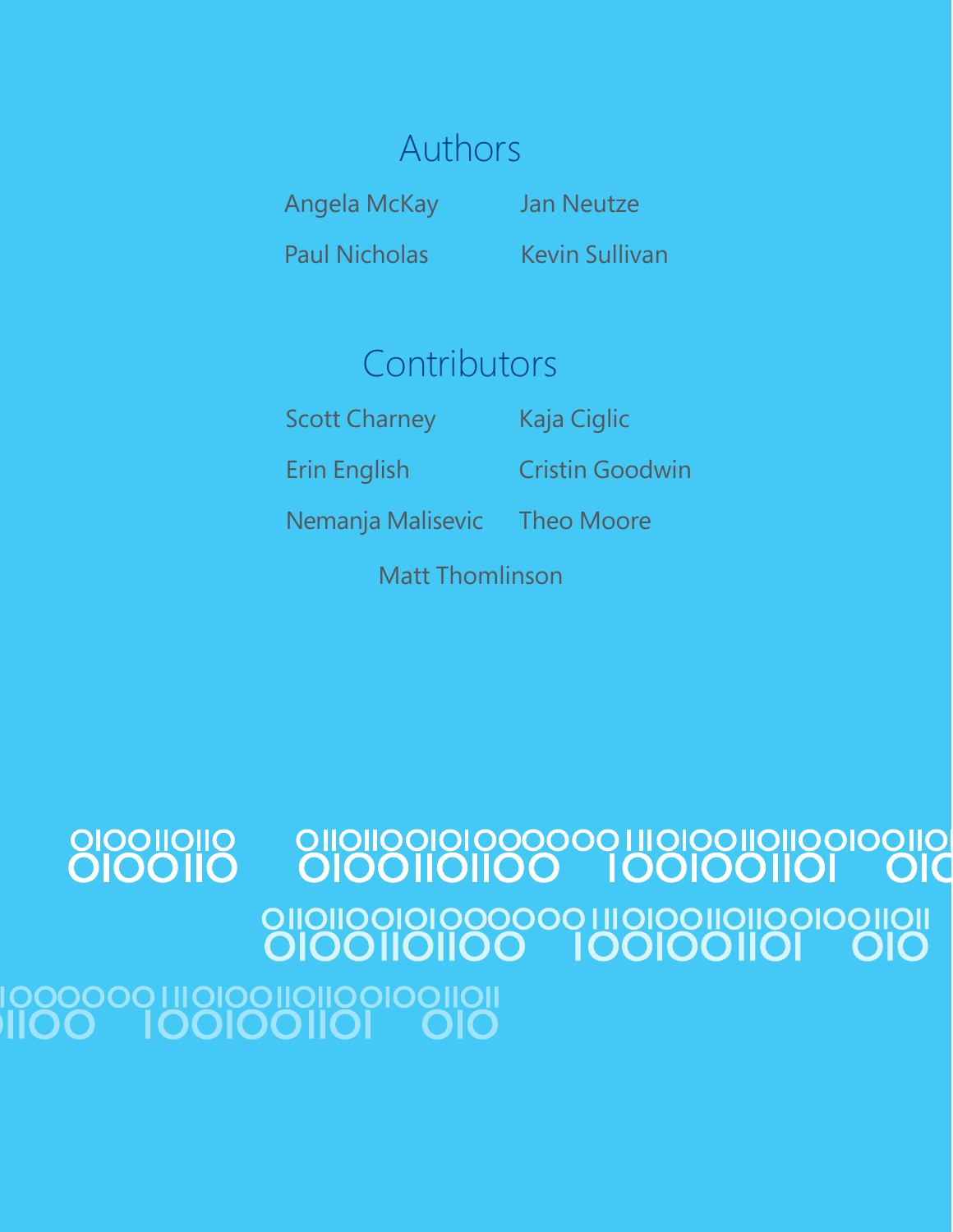### Authors

Angela McKay Jan Neutze

Paul Nicholas Kevin Sullivan

### Contributors

Scott Charney Kaja Ciglic

Erin English Cristin Goodwin

Nemanja Malisevic Theo Moore

Matt Thomlinson

### **OIOOIIOIO**<br>**OIOOIIO OIIOIIOOIOOOOOO IIIOIOOIIOIIOOIOIIOI<br>OIOOIIOIIOO 1001001101** 00000 | || 0| 00 | 10 | 10 | 10 | 1 **DOIIOU 1001001101 OIO**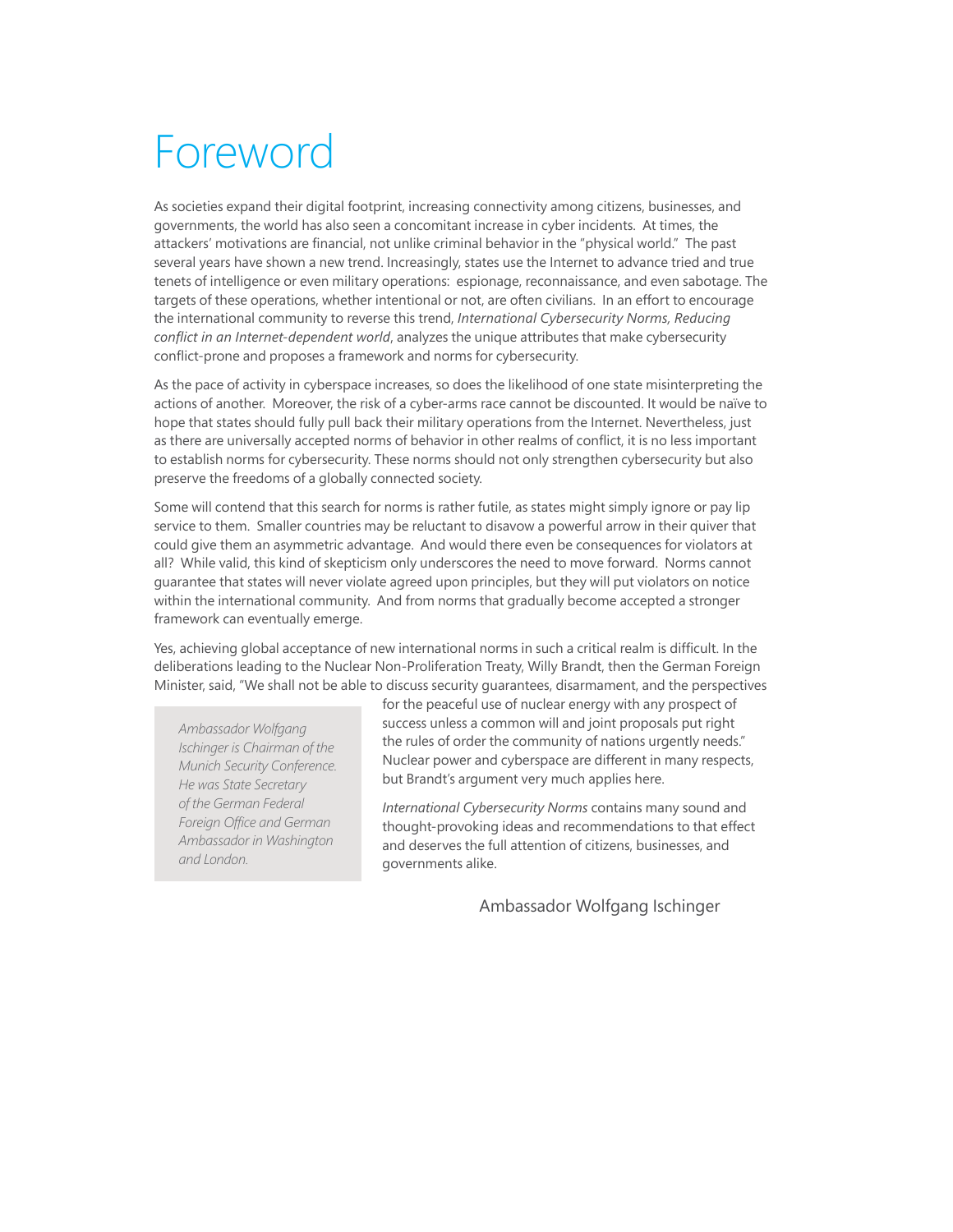### Foreword

As societies expand their digital footprint, increasing connectivity among citizens, businesses, and governments, the world has also seen a concomitant increase in cyber incidents. At times, the attackers' motivations are financial, not unlike criminal behavior in the "physical world." The past several years have shown a new trend. Increasingly, states use the Internet to advance tried and true tenets of intelligence or even military operations: espionage, reconnaissance, and even sabotage. The targets of these operations, whether intentional or not, are often civilians. In an effort to encourage the international community to reverse this trend, *International Cybersecurity Norms, Reducing conflict in an Internet-dependent world*, analyzes the unique attributes that make cybersecurity conflict-prone and proposes a framework and norms for cybersecurity.

As the pace of activity in cyberspace increases, so does the likelihood of one state misinterpreting the actions of another. Moreover, the risk of a cyber-arms race cannot be discounted. It would be naïve to hope that states should fully pull back their military operations from the Internet. Nevertheless, just as there are universally accepted norms of behavior in other realms of conflict, it is no less important to establish norms for cybersecurity. These norms should not only strengthen cybersecurity but also preserve the freedoms of a globally connected society.

Some will contend that this search for norms is rather futile, as states might simply ignore or pay lip service to them. Smaller countries may be reluctant to disavow a powerful arrow in their quiver that could give them an asymmetric advantage. And would there even be consequences for violators at all? While valid, this kind of skepticism only underscores the need to move forward. Norms cannot guarantee that states will never violate agreed upon principles, but they will put violators on notice within the international community. And from norms that gradually become accepted a stronger framework can eventually emerge.

Yes, achieving global acceptance of new international norms in such a critical realm is difficult. In the deliberations leading to the Nuclear Non-Proliferation Treaty, Willy Brandt, then the German Foreign Minister, said, "We shall not be able to discuss security guarantees, disarmament, and the perspectives

*Ambassador Wolfgang Ischinger is Chairman of the Munich Security Conference. He was State Secretary of the German Federal Foreign Office and German Ambassador in Washington and London.*

for the peaceful use of nuclear energy with any prospect of success unless a common will and joint proposals put right the rules of order the community of nations urgently needs." Nuclear power and cyberspace are different in many respects, but Brandt's argument very much applies here.

*International Cybersecurity Norms* contains many sound and thought-provoking ideas and recommendations to that effect and deserves the full attention of citizens, businesses, and governments alike.

Ambassador Wolfgang Ischinger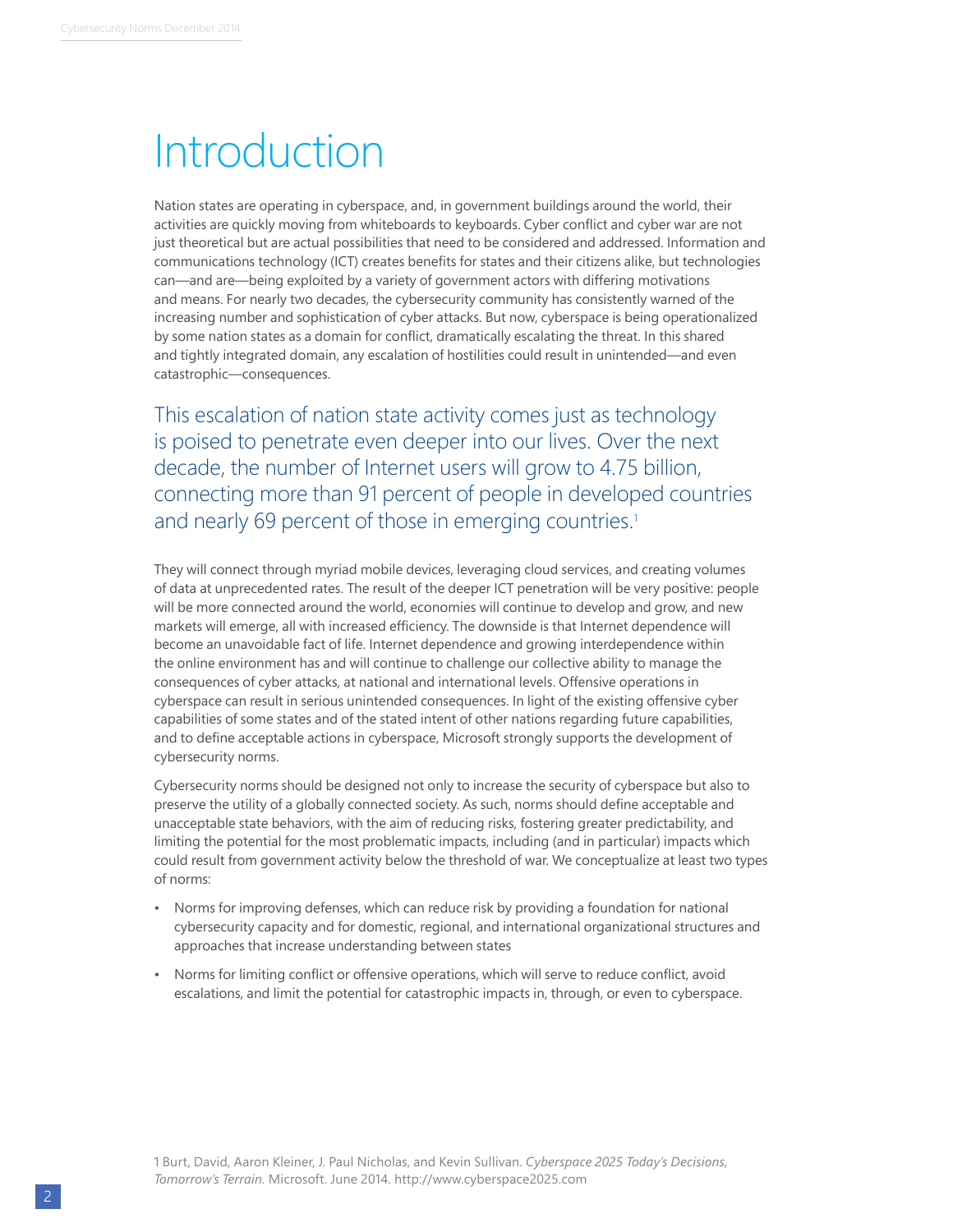### Introduction

Nation states are operating in cyberspace, and, in government buildings around the world, their activities are quickly moving from whiteboards to keyboards. Cyber conflict and cyber war are not just theoretical but are actual possibilities that need to be considered and addressed. Information and communications technology (ICT) creates benefits for states and their citizens alike, but technologies can—and are—being exploited by a variety of government actors with differing motivations and means. For nearly two decades, the cybersecurity community has consistently warned of the increasing number and sophistication of cyber attacks. But now, cyberspace is being operationalized by some nation states as a domain for conflict, dramatically escalating the threat. In this shared and tightly integrated domain, any escalation of hostilities could result in unintended—and even catastrophic—consequences.

This escalation of nation state activity comes just as technology is poised to penetrate even deeper into our lives. Over the next decade, the number of Internet users will grow to 4.75 billion, connecting more than 91 percent of people in developed countries and nearly 69 percent of those in emerging countries.<sup>1</sup>

They will connect through myriad mobile devices, leveraging cloud services, and creating volumes of data at unprecedented rates. The result of the deeper ICT penetration will be very positive: people will be more connected around the world, economies will continue to develop and grow, and new markets will emerge, all with increased efficiency. The downside is that Internet dependence will become an unavoidable fact of life. Internet dependence and growing interdependence within the online environment has and will continue to challenge our collective ability to manage the consequences of cyber attacks, at national and international levels. Offensive operations in cyberspace can result in serious unintended consequences. In light of the existing offensive cyber capabilities of some states and of the stated intent of other nations regarding future capabilities, and to define acceptable actions in cyberspace, Microsoft strongly supports the development of cybersecurity norms.

Cybersecurity norms should be designed not only to increase the security of cyberspace but also to preserve the utility of a globally connected society. As such, norms should define acceptable and unacceptable state behaviors, with the aim of reducing risks, fostering greater predictability, and limiting the potential for the most problematic impacts, including (and in particular) impacts which could result from government activity below the threshold of war. We conceptualize at least two types of norms:

- Norms for improving defenses, which can reduce risk by providing a foundation for national cybersecurity capacity and for domestic, regional, and international organizational structures and approaches that increase understanding between states
- Norms for limiting conflict or offensive operations, which will serve to reduce conflict, avoid escalations, and limit the potential for catastrophic impacts in, through, or even to cyberspace.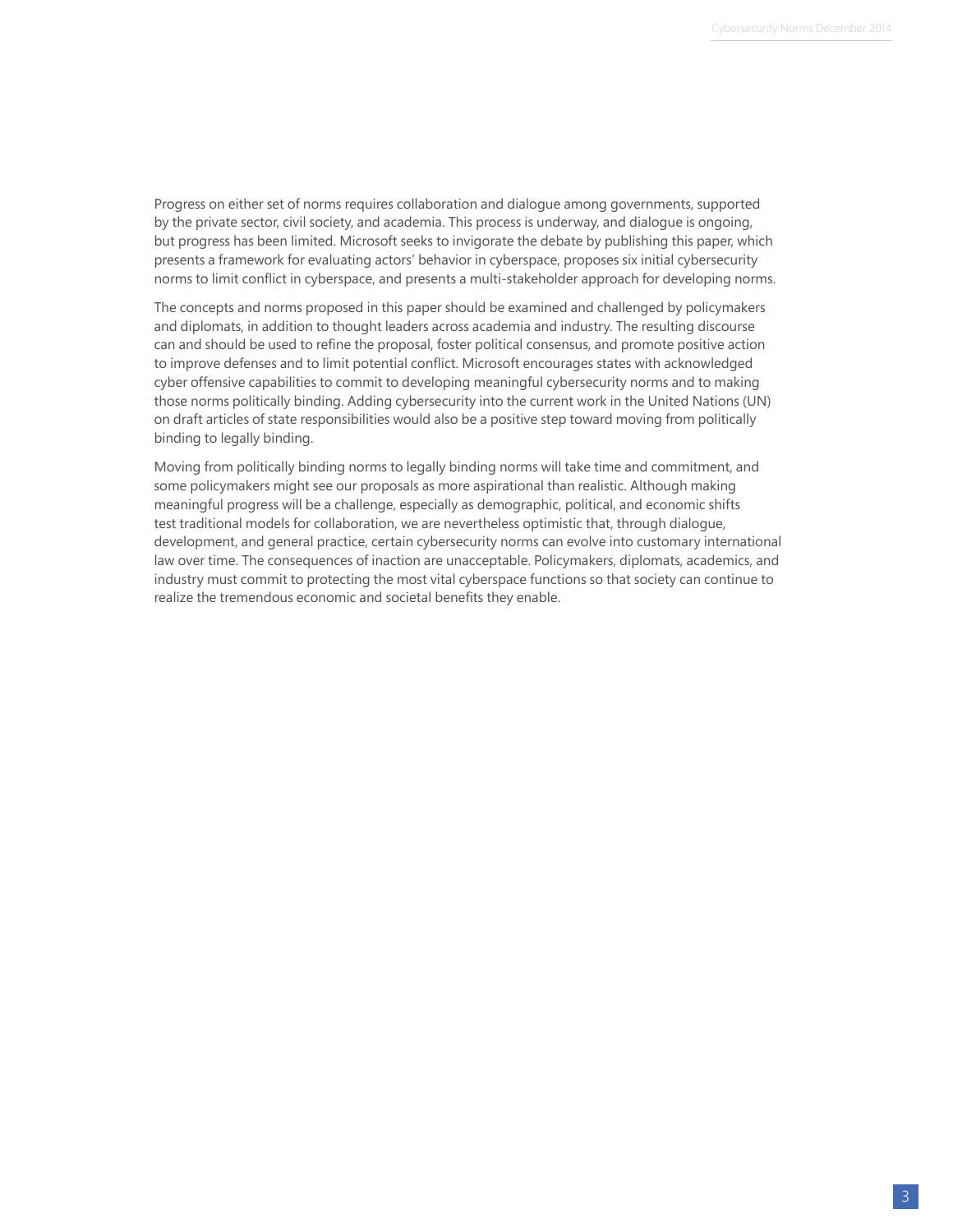Progress on either set of norms requires collaboration and dialogue among governments, supported by the private sector, civil society, and academia. This process is underway, and dialogue is ongoing, but progress has been limited. Microsoft seeks to invigorate the debate by publishing this paper, which presents a framework for evaluating actors' behavior in cyberspace, proposes six initial cybersecurity norms to limit conflict in cyberspace, and presents a multi-stakeholder approach for developing norms.

The concepts and norms proposed in this paper should be examined and challenged by policymakers and diplomats, in addition to thought leaders across academia and industry. The resulting discourse can and should be used to refine the proposal, foster political consensus, and promote positive action to improve defenses and to limit potential conflict. Microsoft encourages states with acknowledged cyber offensive capabilities to commit to developing meaningful cybersecurity norms and to making those norms politically binding. Adding cybersecurity into the current work in the United Nations (UN) on draft articles of state responsibilities would also be a positive step toward moving from politically binding to legally binding.

Moving from politically binding norms to legally binding norms will take time and commitment, and some policymakers might see our proposals as more aspirational than realistic. Although making meaningful progress will be a challenge, especially as demographic, political, and economic shifts test traditional models for collaboration, we are nevertheless optimistic that, through dialogue, development, and general practice, certain cybersecurity norms can evolve into customary international law over time. The consequences of inaction are unacceptable. Policymakers, diplomats, academics, and industry must commit to protecting the most vital cyberspace functions so that society can continue to realize the tremendous economic and societal benefits they enable.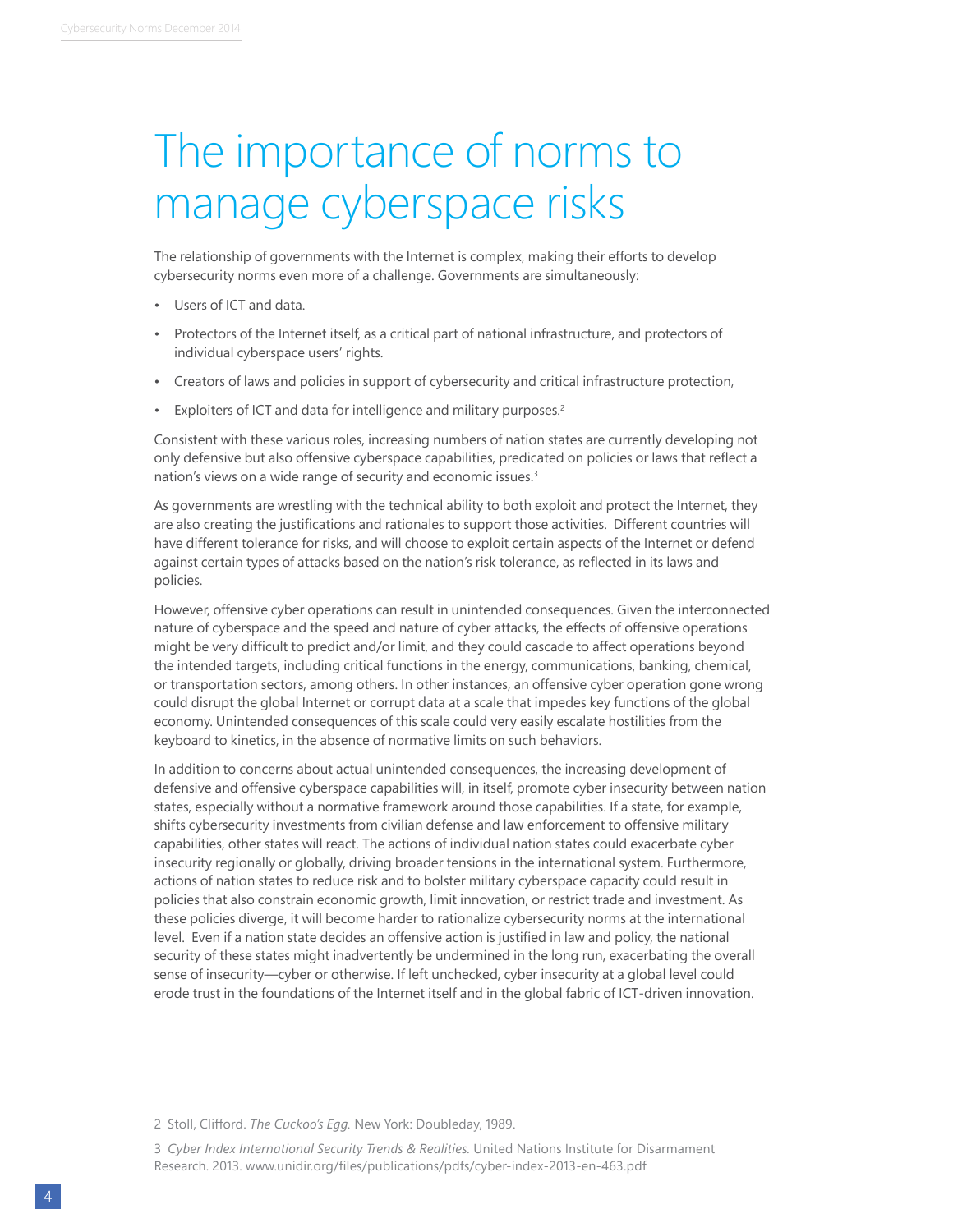# The importance of norms to manage cyberspace risks

The relationship of governments with the Internet is complex, making their efforts to develop cybersecurity norms even more of a challenge. Governments are simultaneously:

- Users of ICT and data.
- Protectors of the Internet itself, as a critical part of national infrastructure, and protectors of individual cyberspace users' rights.
- Creators of laws and policies in support of cybersecurity and critical infrastructure protection,
- Exploiters of ICT and data for intelligence and military purposes.<sup>2</sup>

Consistent with these various roles, increasing numbers of nation states are currently developing not only defensive but also offensive cyberspace capabilities, predicated on policies or laws that reflect a nation's views on a wide range of security and economic issues.3

As governments are wrestling with the technical ability to both exploit and protect the Internet, they are also creating the justifications and rationales to support those activities. Different countries will have different tolerance for risks, and will choose to exploit certain aspects of the Internet or defend against certain types of attacks based on the nation's risk tolerance, as reflected in its laws and policies.

However, offensive cyber operations can result in unintended consequences. Given the interconnected nature of cyberspace and the speed and nature of cyber attacks, the effects of offensive operations might be very difficult to predict and/or limit, and they could cascade to affect operations beyond the intended targets, including critical functions in the energy, communications, banking, chemical, or transportation sectors, among others. In other instances, an offensive cyber operation gone wrong could disrupt the global Internet or corrupt data at a scale that impedes key functions of the global economy. Unintended consequences of this scale could very easily escalate hostilities from the keyboard to kinetics, in the absence of normative limits on such behaviors.

In addition to concerns about actual unintended consequences, the increasing development of defensive and offensive cyberspace capabilities will, in itself, promote cyber insecurity between nation states, especially without a normative framework around those capabilities. If a state, for example, shifts cybersecurity investments from civilian defense and law enforcement to offensive military capabilities, other states will react. The actions of individual nation states could exacerbate cyber insecurity regionally or globally, driving broader tensions in the international system. Furthermore, actions of nation states to reduce risk and to bolster military cyberspace capacity could result in policies that also constrain economic growth, limit innovation, or restrict trade and investment. As these policies diverge, it will become harder to rationalize cybersecurity norms at the international level. Even if a nation state decides an offensive action is justified in law and policy, the national security of these states might inadvertently be undermined in the long run, exacerbating the overall sense of insecurity—cyber or otherwise. If left unchecked, cyber insecurity at a global level could erode trust in the foundations of the Internet itself and in the global fabric of ICT-driven innovation.

2 Stoll, Clifford. *The Cuckoo's Egg.* New York: Doubleday, 1989.

3 *Cyber Index International Security Trends & Realities.* United Nations Institute for Disarmament Research. 2013. [www.unidir.org/files/publications/pdfs/cyber-index-2013-en-463.pdf](http://www.unidir.org/files/publications/pdfs/cyber-index-2013-en-463.pdf)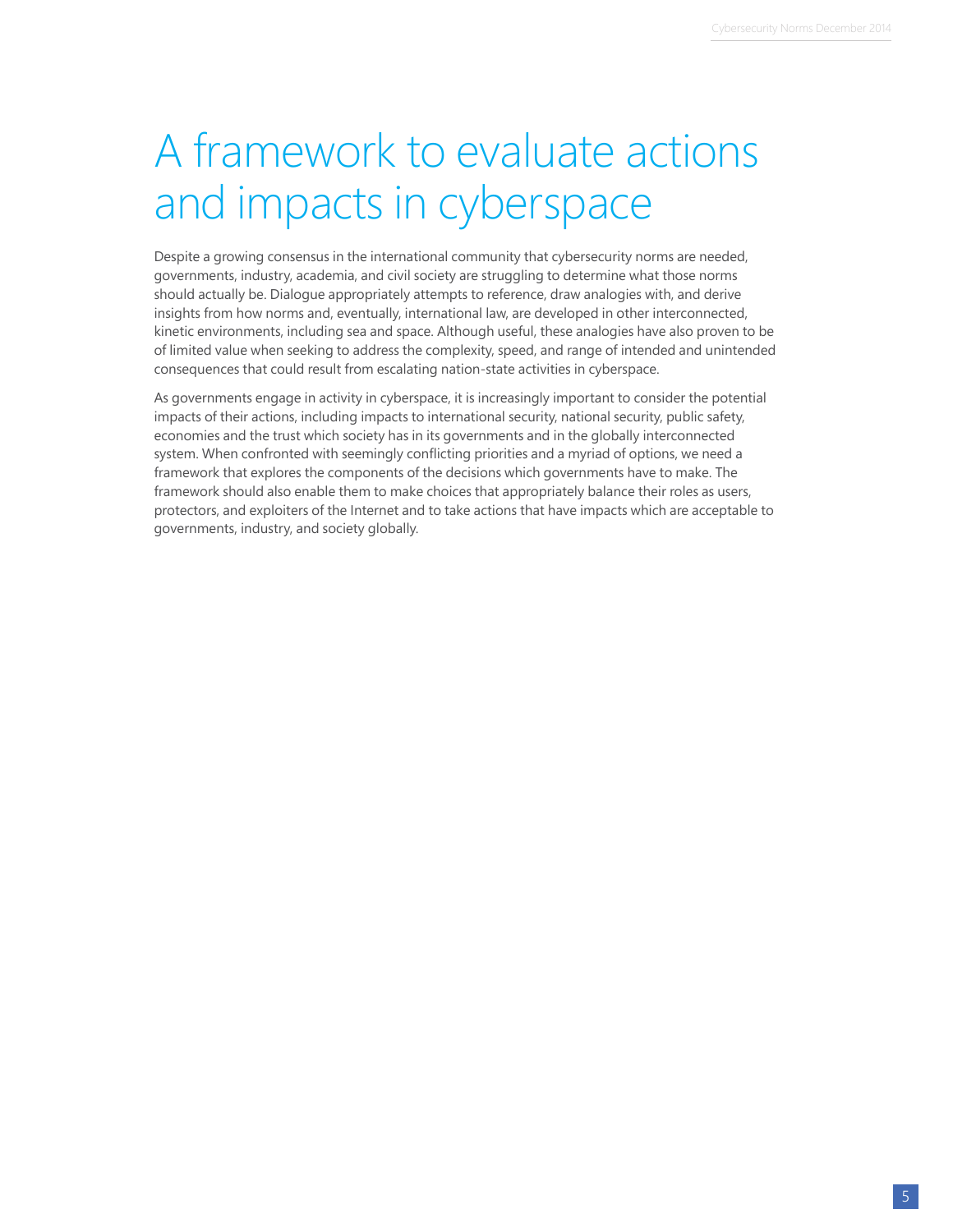## A framework to evaluate actions and impacts in cyberspace

Despite a growing consensus in the international community that cybersecurity norms are needed, governments, industry, academia, and civil society are struggling to determine what those norms should actually be. Dialogue appropriately attempts to reference, draw analogies with, and derive insights from how norms and, eventually, international law, are developed in other interconnected, kinetic environments, including sea and space. Although useful, these analogies have also proven to be of limited value when seeking to address the complexity, speed, and range of intended and unintended consequences that could result from escalating nation-state activities in cyberspace.

As governments engage in activity in cyberspace, it is increasingly important to consider the potential impacts of their actions, including impacts to international security, national security, public safety, economies and the trust which society has in its governments and in the globally interconnected system. When confronted with seemingly conflicting priorities and a myriad of options, we need a framework that explores the components of the decisions which governments have to make. The framework should also enable them to make choices that appropriately balance their roles as users, protectors, and exploiters of the Internet and to take actions that have impacts which are acceptable to governments, industry, and society globally.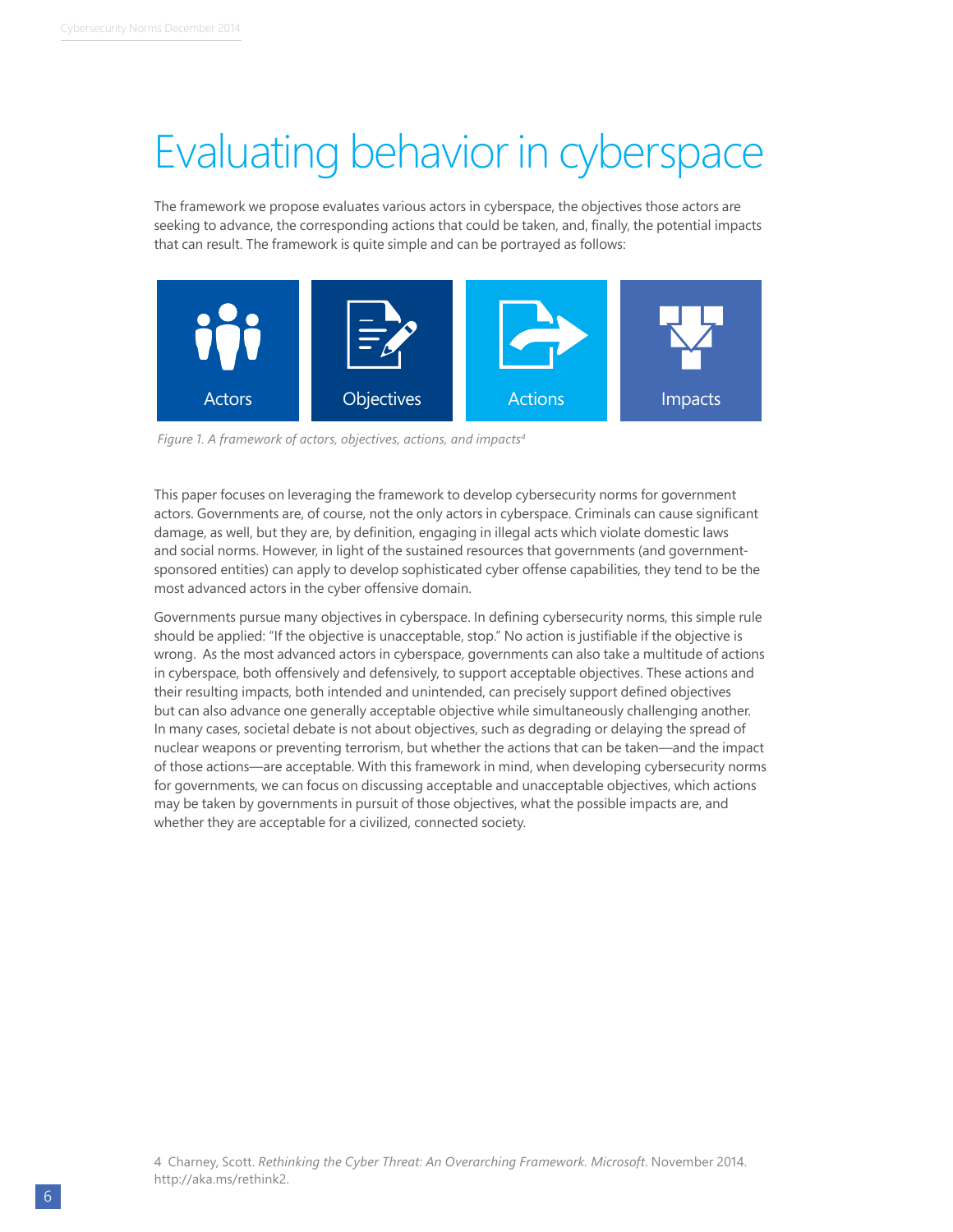# Evaluating behavior in cyberspace

The framework we propose evaluates various actors in cyberspace, the objectives those actors are seeking to advance, the corresponding actions that could be taken, and, finally, the potential impacts that can result. The framework is quite simple and can be portrayed as follows:



*Figure 1. A framework of actors, objectives, actions, and impacts<sup>4</sup>*

This paper focuses on leveraging the framework to develop cybersecurity norms for government actors. Governments are, of course, not the only actors in cyberspace. Criminals can cause significant damage, as well, but they are, by definition, engaging in illegal acts which violate domestic laws and social norms. However, in light of the sustained resources that governments (and governmentsponsored entities) can apply to develop sophisticated cyber offense capabilities, they tend to be the most advanced actors in the cyber offensive domain.

Governments pursue many objectives in cyberspace. In defining cybersecurity norms, this simple rule should be applied: "If the objective is unacceptable, stop." No action is justifiable if the objective is wrong. As the most advanced actors in cyberspace, governments can also take a multitude of actions in cyberspace, both offensively and defensively, to support acceptable objectives. These actions and their resulting impacts, both intended and unintended, can precisely support defined objectives but can also advance one generally acceptable objective while simultaneously challenging another. In many cases, societal debate is not about objectives, such as degrading or delaying the spread of nuclear weapons or preventing terrorism, but whether the actions that can be taken—and the impact of those actions—are acceptable. With this framework in mind, when developing cybersecurity norms for governments, we can focus on discussing acceptable and unacceptable objectives, which actions may be taken by governments in pursuit of those objectives, what the possible impacts are, and whether they are acceptable for a civilized, connected society.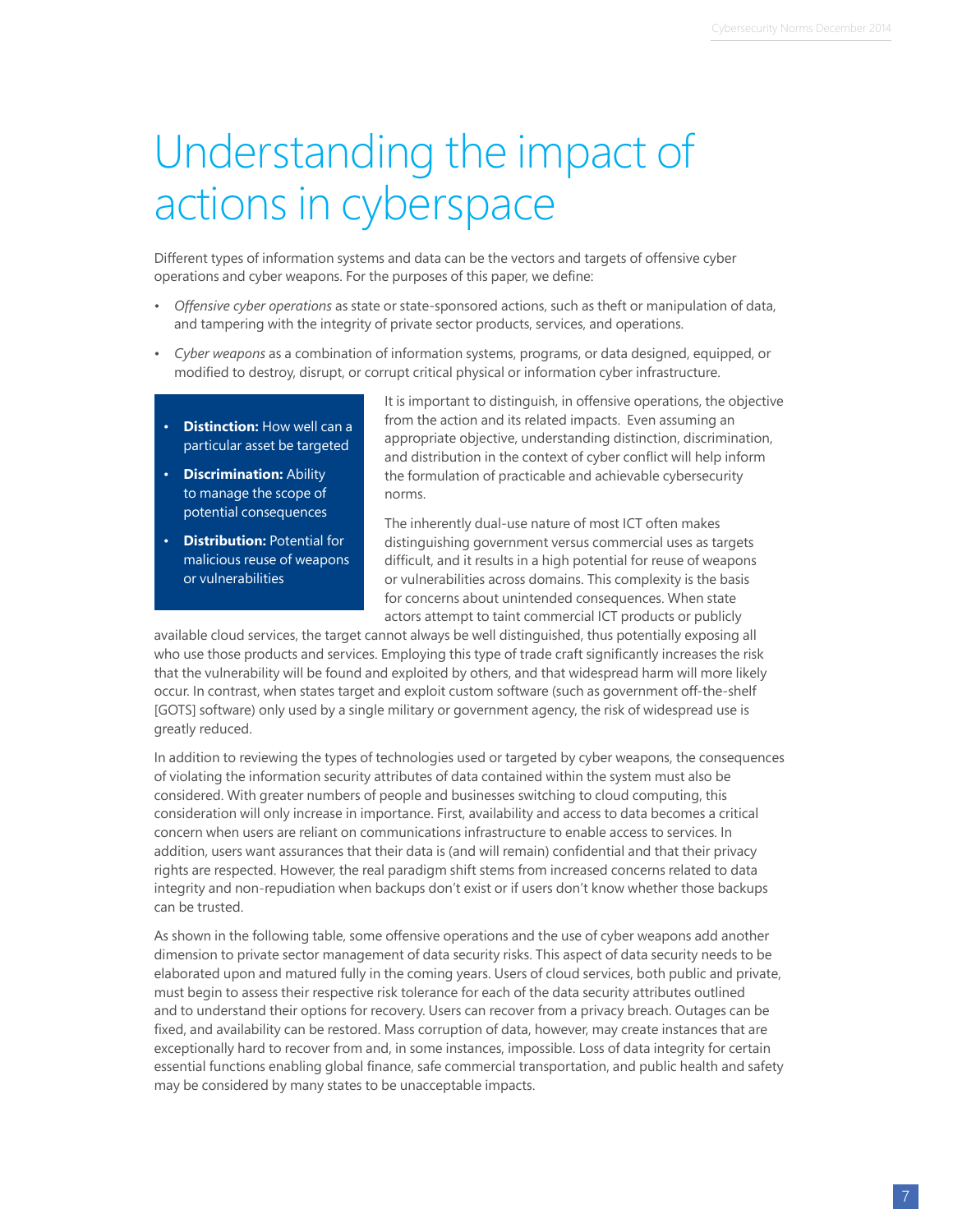### Understanding the impact of actions in cyberspace

Different types of information systems and data can be the vectors and targets of offensive cyber operations and cyber weapons. For the purposes of this paper, we define:

- *Offensive cyber operations* as state or state-sponsored actions, such as theft or manipulation of data, and tampering with the integrity of private sector products, services, and operations.
- *Cyber weapons* as a combination of information systems, programs, or data designed, equipped, or modified to destroy, disrupt, or corrupt critical physical or information cyber infrastructure.
- **Distinction:** How well can a particular asset be targeted
- **Discrimination:** Ability to manage the scope of potential consequences
- **Distribution:** Potential for malicious reuse of weapons or vulnerabilities

It is important to distinguish, in offensive operations, the objective from the action and its related impacts. Even assuming an appropriate objective, understanding distinction, discrimination, and distribution in the context of cyber conflict will help inform the formulation of practicable and achievable cybersecurity norms.

The inherently dual-use nature of most ICT often makes distinguishing government versus commercial uses as targets difficult, and it results in a high potential for reuse of weapons or vulnerabilities across domains. This complexity is the basis for concerns about unintended consequences. When state actors attempt to taint commercial ICT products or publicly

available cloud services, the target cannot always be well distinguished, thus potentially exposing all who use those products and services. Employing this type of trade craft significantly increases the risk that the vulnerability will be found and exploited by others, and that widespread harm will more likely occur. In contrast, when states target and exploit custom software (such as government off-the-shelf [GOTS] software) only used by a single military or government agency, the risk of widespread use is greatly reduced.

In addition to reviewing the types of technologies used or targeted by cyber weapons, the consequences of violating the information security attributes of data contained within the system must also be considered. With greater numbers of people and businesses switching to cloud computing, this consideration will only increase in importance. First, availability and access to data becomes a critical concern when users are reliant on communications infrastructure to enable access to services. In addition, users want assurances that their data is (and will remain) confidential and that their privacy rights are respected. However, the real paradigm shift stems from increased concerns related to data integrity and non-repudiation when backups don't exist or if users don't know whether those backups can be trusted.

As shown in the following table, some offensive operations and the use of cyber weapons add another dimension to private sector management of data security risks. This aspect of data security needs to be elaborated upon and matured fully in the coming years. Users of cloud services, both public and private, must begin to assess their respective risk tolerance for each of the data security attributes outlined and to understand their options for recovery. Users can recover from a privacy breach. Outages can be fixed, and availability can be restored. Mass corruption of data, however, may create instances that are exceptionally hard to recover from and, in some instances, impossible. Loss of data integrity for certain essential functions enabling global finance, safe commercial transportation, and public health and safety may be considered by many states to be unacceptable impacts.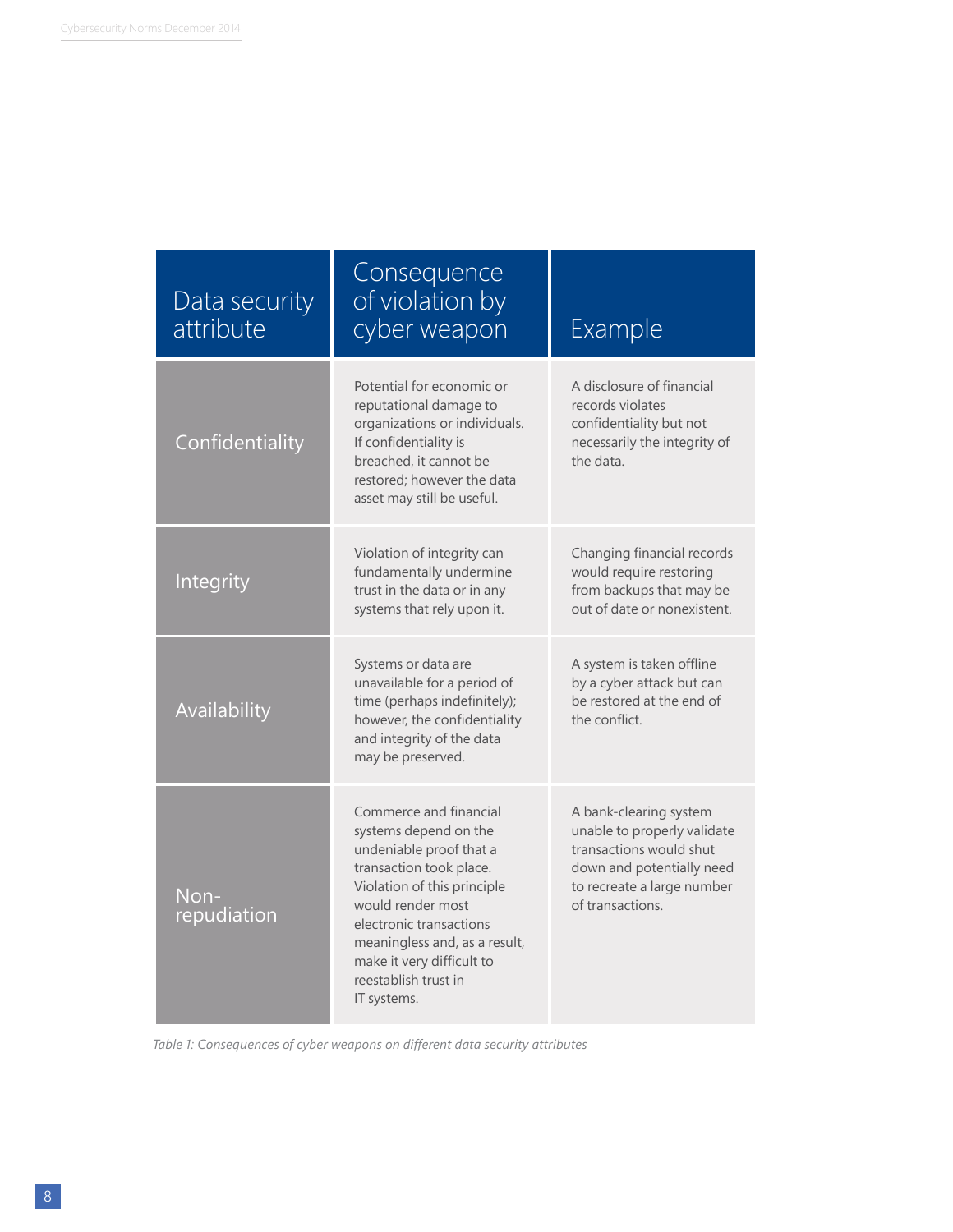| Data security<br>attribute | Consequence<br>of violation by<br>cyber weapon                                                                                                                                                                                                                                            | Example                                                                                                                                                         |
|----------------------------|-------------------------------------------------------------------------------------------------------------------------------------------------------------------------------------------------------------------------------------------------------------------------------------------|-----------------------------------------------------------------------------------------------------------------------------------------------------------------|
| Confidentiality            | Potential for economic or<br>reputational damage to<br>organizations or individuals.<br>If confidentiality is<br>breached, it cannot be<br>restored: however the data<br>asset may still be useful.                                                                                       | A disclosure of financial<br>records violates<br>confidentiality but not<br>necessarily the integrity of<br>the data.                                           |
| Integrity                  | Violation of integrity can<br>fundamentally undermine<br>trust in the data or in any<br>systems that rely upon it.                                                                                                                                                                        | Changing financial records<br>would require restoring<br>from backups that may be<br>out of date or nonexistent.                                                |
| Availability               | Systems or data are<br>unavailable for a period of<br>time (perhaps indefinitely);<br>however, the confidentiality<br>and integrity of the data<br>may be preserved.                                                                                                                      | A system is taken offline<br>by a cyber attack but can<br>be restored at the end of<br>the conflict.                                                            |
| Non-<br>repudiation        | Commerce and financial<br>systems depend on the<br>undeniable proof that a<br>transaction took place.<br>Violation of this principle<br>would render most<br>electronic transactions<br>meaningless and, as a result,<br>make it very difficult to<br>reestablish trust in<br>IT systems. | A bank-clearing system<br>unable to properly validate<br>transactions would shut<br>down and potentially need<br>to recreate a large number<br>of transactions. |

*Table 1: Consequences of cyber weapons on different data security attributes*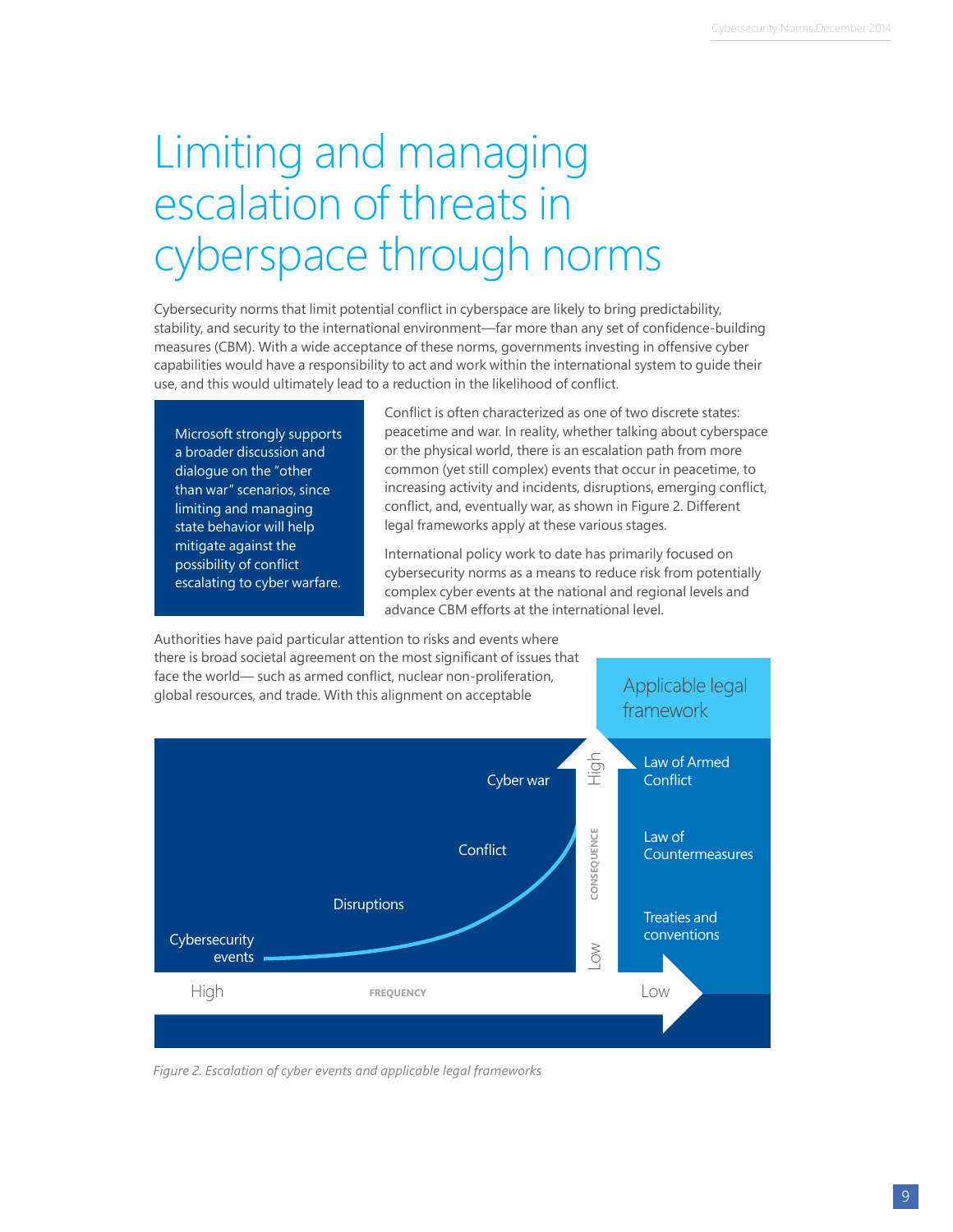# Limiting and managing escalation of threats in cyberspace through norms

Cybersecurity norms that limit potential conflict in cyberspace are likely to bring predictability, stability, and security to the international environment—far more than any set of confidence-building measures (CBM). With a wide acceptance of these norms, governments investing in offensive cyber capabilities would have a responsibility to act and work within the international system to guide their use, and this would ultimately lead to a reduction in the likelihood of conflict.

Microsoft strongly supports a broader discussion and dialogue on the "other than war" scenarios, since limiting and managing state behavior will help mitigate against the possibility of conflict escalating to cyber warfare.

Conflict is often characterized as one of two discrete states: peacetime and war. In reality, whether talking about cyberspace or the physical world, there is an escalation path from more common (yet still complex) events that occur in peacetime, to increasing activity and incidents, disruptions, emerging conflict, conflict, and, eventually war, as shown in Figure 2. Different legal frameworks apply at these various stages.

International policy work to date has primarily focused on cybersecurity norms as a means to reduce risk from potentially complex cyber events at the national and regional levels and advance CBM efforts at the international level.

Applicable legal

Authorities have paid particular attention to risks and events where there is broad societal agreement on the most significant of issues that face the world— such as armed conflict, nuclear non-proliferation, global resources, and trade. With this alignment on acceptable



*Figure 2. Escalation of cyber events and applicable legal frameworks*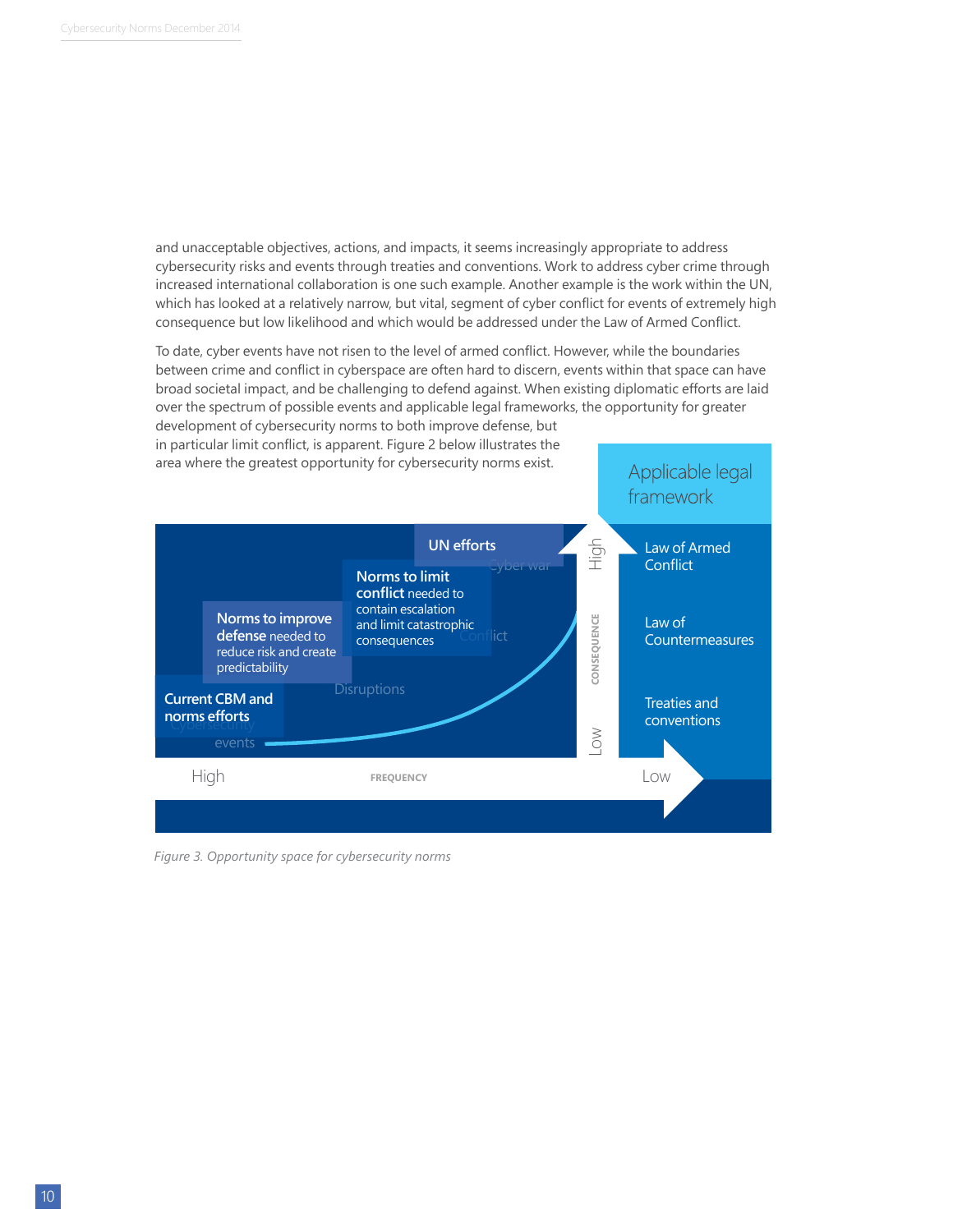and unacceptable objectives, actions, and impacts, it seems increasingly appropriate to address cybersecurity risks and events through treaties and conventions. Work to address cyber crime through increased international collaboration is one such example. Another example is the work within the UN, which has looked at a relatively narrow, but vital, segment of cyber conflict for events of extremely high consequence but low likelihood and which would be addressed under the Law of Armed Conflict.

To date, cyber events have not risen to the level of armed conflict. However, while the boundaries between crime and conflict in cyberspace are often hard to discern, events within that space can have broad societal impact, and be challenging to defend against. When existing diplomatic efforts are laid over the spectrum of possible events and applicable legal frameworks, the opportunity for greater



*Figure 3. Opportunity space for cybersecurity norms*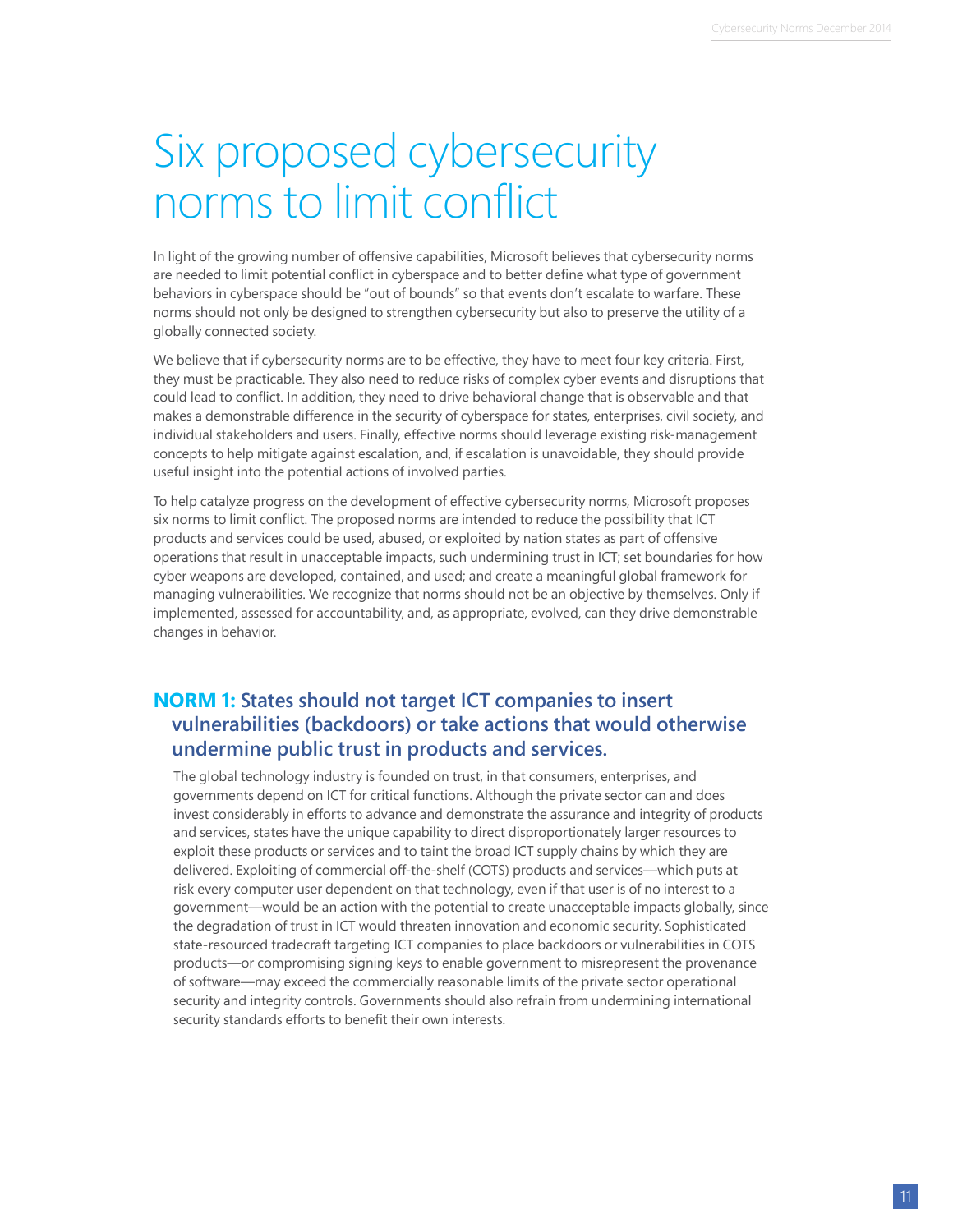### Six proposed cybersecurity norms to limit conflict

In light of the growing number of offensive capabilities, Microsoft believes that cybersecurity norms are needed to limit potential conflict in cyberspace and to better define what type of government behaviors in cyberspace should be "out of bounds" so that events don't escalate to warfare. These norms should not only be designed to strengthen cybersecurity but also to preserve the utility of a globally connected society.

We believe that if cybersecurity norms are to be effective, they have to meet four key criteria. First, they must be practicable. They also need to reduce risks of complex cyber events and disruptions that could lead to conflict. In addition, they need to drive behavioral change that is observable and that makes a demonstrable difference in the security of cyberspace for states, enterprises, civil society, and individual stakeholders and users. Finally, effective norms should leverage existing risk-management concepts to help mitigate against escalation, and, if escalation is unavoidable, they should provide useful insight into the potential actions of involved parties.

To help catalyze progress on the development of effective cybersecurity norms, Microsoft proposes six norms to limit conflict. The proposed norms are intended to reduce the possibility that ICT products and services could be used, abused, or exploited by nation states as part of offensive operations that result in unacceptable impacts, such undermining trust in ICT; set boundaries for how cyber weapons are developed, contained, and used; and create a meaningful global framework for managing vulnerabilities. We recognize that norms should not be an objective by themselves. Only if implemented, assessed for accountability, and, as appropriate, evolved, can they drive demonstrable changes in behavior.

#### **NORM 1: States should not target ICT companies to insert vulnerabilities (backdoors) or take actions that would otherwise undermine public trust in products and services.**

The global technology industry is founded on trust, in that consumers, enterprises, and governments depend on ICT for critical functions. Although the private sector can and does invest considerably in efforts to advance and demonstrate the assurance and integrity of products and services, states have the unique capability to direct disproportionately larger resources to exploit these products or services and to taint the broad ICT supply chains by which they are delivered. Exploiting of commercial off-the-shelf (COTS) products and services—which puts at risk every computer user dependent on that technology, even if that user is of no interest to a government—would be an action with the potential to create unacceptable impacts globally, since the degradation of trust in ICT would threaten innovation and economic security. Sophisticated state-resourced tradecraft targeting ICT companies to place backdoors or vulnerabilities in COTS products—or compromising signing keys to enable government to misrepresent the provenance of software—may exceed the commercially reasonable limits of the private sector operational security and integrity controls. Governments should also refrain from undermining international security standards efforts to benefit their own interests.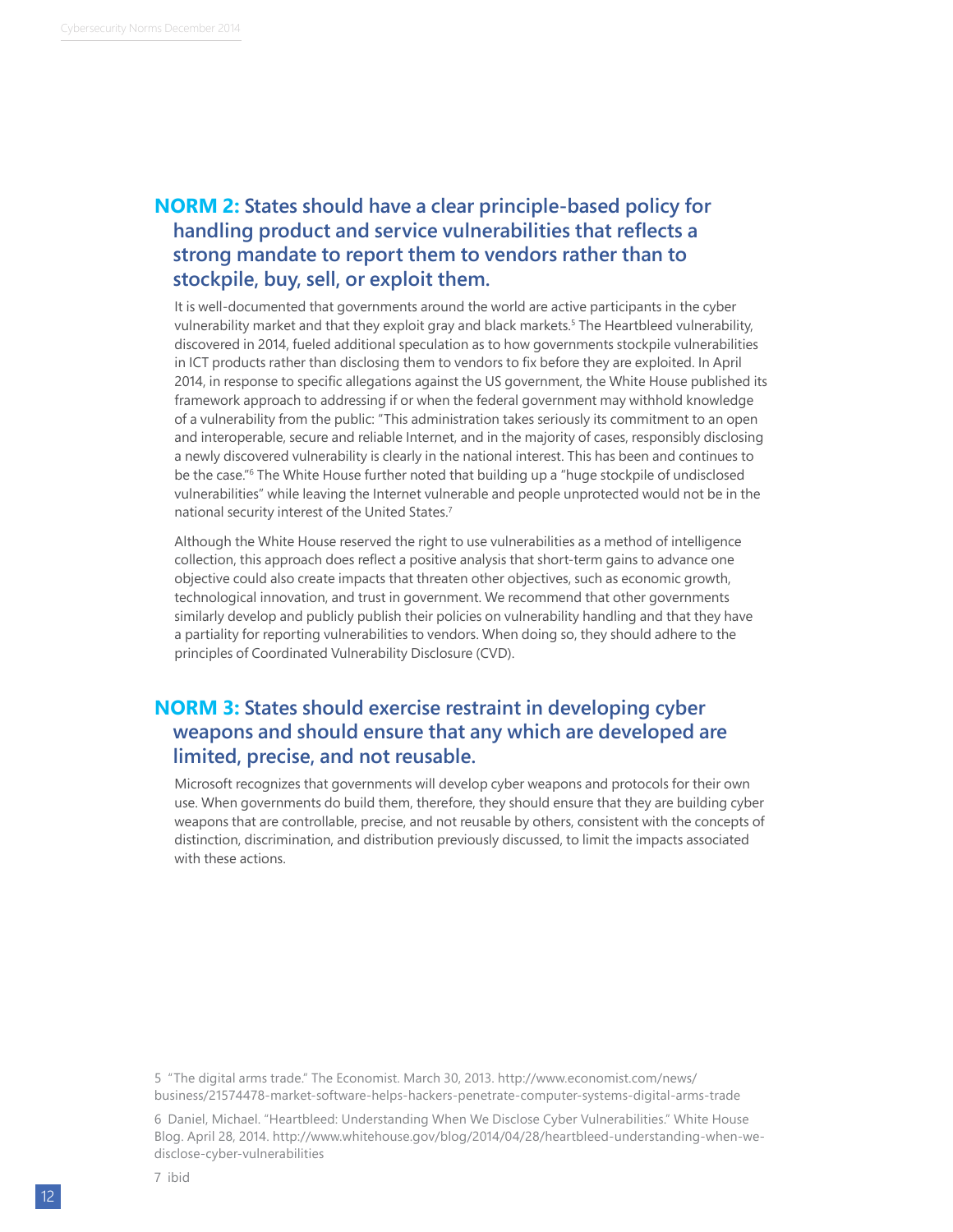#### **NORM 2: States should have a clear principle-based policy for handling product and service vulnerabilities that reflects a strong mandate to report them to vendors rather than to stockpile, buy, sell, or exploit them.**

It is well-documented that governments around the world are active participants in the cyber vulnerability market and that they exploit gray and black markets.<sup>5</sup> The Heartbleed vulnerability, discovered in 2014, fueled additional speculation as to how governments stockpile vulnerabilities in ICT products rather than disclosing them to vendors to fix before they are exploited. In April 2014, in response to specific allegations against the US government, the White House published its framework approach to addressing if or when the federal government may withhold knowledge of a vulnerability from the public: "This administration takes seriously its commitment to an open and interoperable, secure and reliable Internet, and in the majority of cases, responsibly disclosing a newly discovered vulnerability is clearly in the national interest. This has been and continues to be the case."<sup>6</sup> The White House further noted that building up a "huge stockpile of undisclosed vulnerabilities" while leaving the Internet vulnerable and people unprotected would not be in the national security interest of the United States.<sup>7</sup>

Although the White House reserved the right to use vulnerabilities as a method of intelligence collection, this approach does reflect a positive analysis that short-term gains to advance one objective could also create impacts that threaten other objectives, such as economic growth, technological innovation, and trust in government. We recommend that other governments similarly develop and publicly publish their policies on vulnerability handling and that they have a partiality for reporting vulnerabilities to vendors. When doing so, they should adhere to the principles of Coordinated Vulnerability Disclosure (CVD).

#### **NORM 3: States should exercise restraint in developing cyber weapons and should ensure that any which are developed are limited, precise, and not reusable.**

Microsoft recognizes that governments will develop cyber weapons and protocols for their own use. When governments do build them, therefore, they should ensure that they are building cyber weapons that are controllable, precise, and not reusable by others, consistent with the concepts of distinction, discrimination, and distribution previously discussed, to limit the impacts associated with these actions.

5 "The digital arms trade." The Economist. March 30, 2013. [http://www.economist.com/news/](http://www.economist.com/news/business/21574478-market-software-helps-hackers-penetrate-computer-systems-digital-arms-trade) [business/21574478-market-software-helps-hackers-penetrate-computer-systems-digital-arms-trade](http://www.economist.com/news/business/21574478-market-software-helps-hackers-penetrate-computer-systems-digital-arms-trade)

6 Daniel, Michael. "Heartbleed: Understanding When We Disclose Cyber Vulnerabilities." White House Blog. April 28, 2014. [http://www.whitehouse.gov/blog/2014/04/28/heartbleed-understanding-when-we](http://www.whitehouse.gov/blog/2014/04/28/heartbleed-understanding-when-we-disclose-cyber-vulnerabilities)[disclose-cyber-vulnerabilities](http://www.whitehouse.gov/blog/2014/04/28/heartbleed-understanding-when-we-disclose-cyber-vulnerabilities)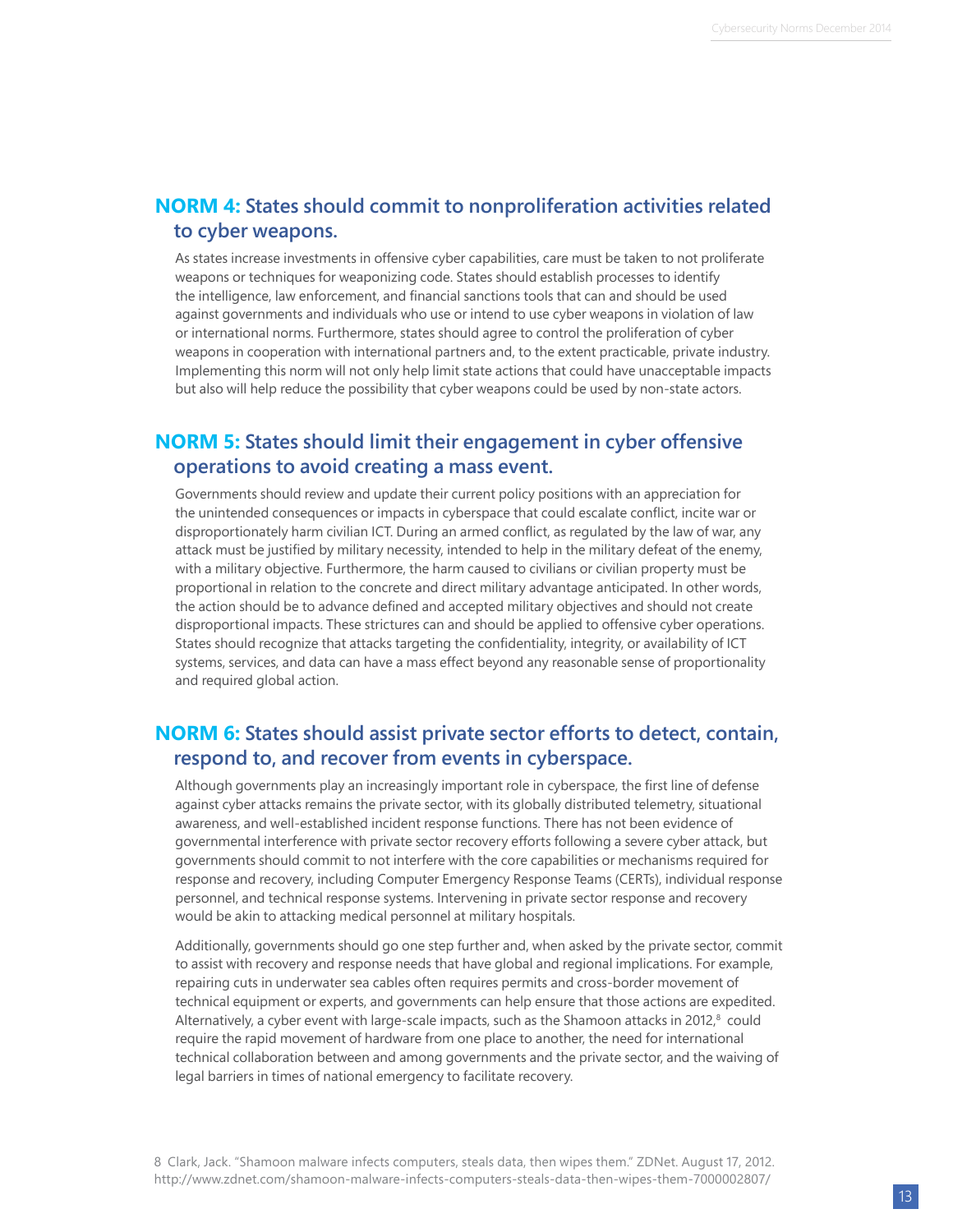#### **NORM 4: States should commit to nonproliferation activities related to cyber weapons.**

As states increase investments in offensive cyber capabilities, care must be taken to not proliferate weapons or techniques for weaponizing code. States should establish processes to identify the intelligence, law enforcement, and financial sanctions tools that can and should be used against governments and individuals who use or intend to use cyber weapons in violation of law or international norms. Furthermore, states should agree to control the proliferation of cyber weapons in cooperation with international partners and, to the extent practicable, private industry. Implementing this norm will not only help limit state actions that could have unacceptable impacts but also will help reduce the possibility that cyber weapons could be used by non-state actors.

#### **NORM 5: States should limit their engagement in cyber offensive operations to avoid creating a mass event.**

Governments should review and update their current policy positions with an appreciation for the unintended consequences or impacts in cyberspace that could escalate conflict, incite war or disproportionately harm civilian ICT. During an armed conflict, as regulated by the law of war, any attack must be justified by military necessity, intended to help in the military defeat of the enemy, with a military objective. Furthermore, the harm caused to civilians or civilian property must be proportional in relation to the concrete and direct military advantage anticipated. In other words, the action should be to advance defined and accepted military objectives and should not create disproportional impacts. These strictures can and should be applied to offensive cyber operations. States should recognize that attacks targeting the confidentiality, integrity, or availability of ICT systems, services, and data can have a mass effect beyond any reasonable sense of proportionality and required global action.

#### **NORM 6: States should assist private sector efforts to detect, contain, respond to, and recover from events in cyberspace.**

Although governments play an increasingly important role in cyberspace, the first line of defense against cyber attacks remains the private sector, with its globally distributed telemetry, situational awareness, and well-established incident response functions. There has not been evidence of governmental interference with private sector recovery efforts following a severe cyber attack, but governments should commit to not interfere with the core capabilities or mechanisms required for response and recovery, including Computer Emergency Response Teams (CERTs), individual response personnel, and technical response systems. Intervening in private sector response and recovery would be akin to attacking medical personnel at military hospitals.

Additionally, governments should go one step further and, when asked by the private sector, commit to assist with recovery and response needs that have global and regional implications. For example, repairing cuts in underwater sea cables often requires permits and cross-border movement of technical equipment or experts, and governments can help ensure that those actions are expedited. Alternatively, a cyber event with large-scale impacts, such as the Shamoon attacks in 2012, $^8$  could require the rapid movement of hardware from one place to another, the need for international technical collaboration between and among governments and the private sector, and the waiving of legal barriers in times of national emergency to facilitate recovery.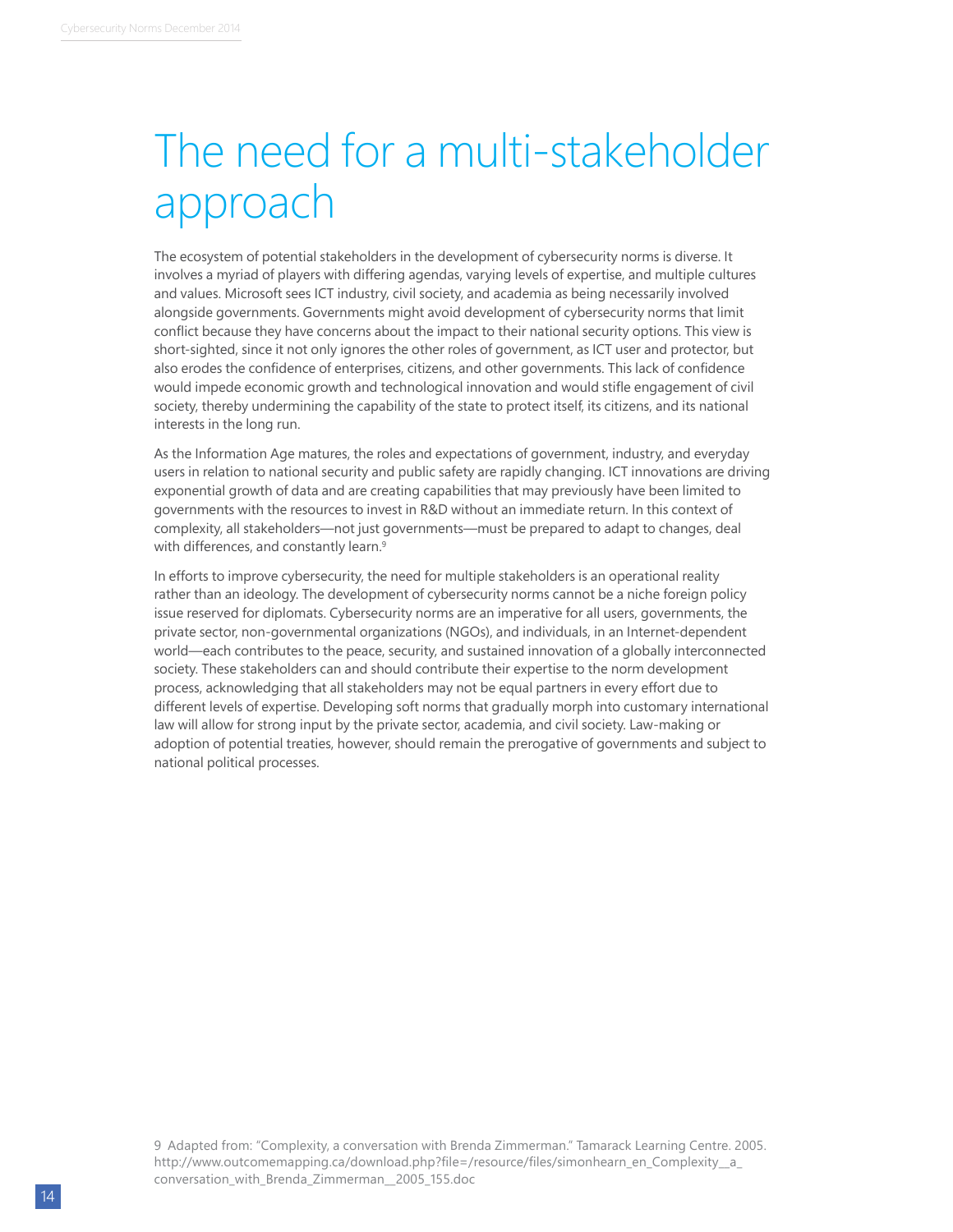# The need for a multi-stakeholder approach

The ecosystem of potential stakeholders in the development of cybersecurity norms is diverse. It involves a myriad of players with differing agendas, varying levels of expertise, and multiple cultures and values. Microsoft sees ICT industry, civil society, and academia as being necessarily involved alongside governments. Governments might avoid development of cybersecurity norms that limit conflict because they have concerns about the impact to their national security options. This view is short-sighted, since it not only ignores the other roles of government, as ICT user and protector, but also erodes the confidence of enterprises, citizens, and other governments. This lack of confidence would impede economic growth and technological innovation and would stifle engagement of civil society, thereby undermining the capability of the state to protect itself, its citizens, and its national interests in the long run.

As the Information Age matures, the roles and expectations of government, industry, and everyday users in relation to national security and public safety are rapidly changing. ICT innovations are driving exponential growth of data and are creating capabilities that may previously have been limited to governments with the resources to invest in R&D without an immediate return. In this context of complexity, all stakeholders—not just governments—must be prepared to adapt to changes, deal with differences, and constantly learn.<sup>9</sup>

In efforts to improve cybersecurity, the need for multiple stakeholders is an operational reality rather than an ideology. The development of cybersecurity norms cannot be a niche foreign policy issue reserved for diplomats. Cybersecurity norms are an imperative for all users, governments, the private sector, non-governmental organizations (NGOs), and individuals, in an Internet-dependent world—each contributes to the peace, security, and sustained innovation of a globally interconnected society. These stakeholders can and should contribute their expertise to the norm development process, acknowledging that all stakeholders may not be equal partners in every effort due to different levels of expertise. Developing soft norms that gradually morph into customary international law will allow for strong input by the private sector, academia, and civil society. Law-making or adoption of potential treaties, however, should remain the prerogative of governments and subject to national political processes.

9 Adapted from: "Complexity, a conversation with Brenda Zimmerman." Tamarack Learning Centre. 2005. [http://www.outcomemapping.ca/download.php?file=/resource/files/simonhearn\\_en\\_Complexity\\_\\_a\\_](http://www.outcomemapping.ca/download.php?file=/resource/files/simonhearn_en_Complexity__a_conversation_with_Brenda_Zimmerman__2005_155.doc) [conversation\\_with\\_Brenda\\_Zimmerman\\_\\_2005\\_155.doc](http://www.outcomemapping.ca/download.php?file=/resource/files/simonhearn_en_Complexity__a_conversation_with_Brenda_Zimmerman__2005_155.doc)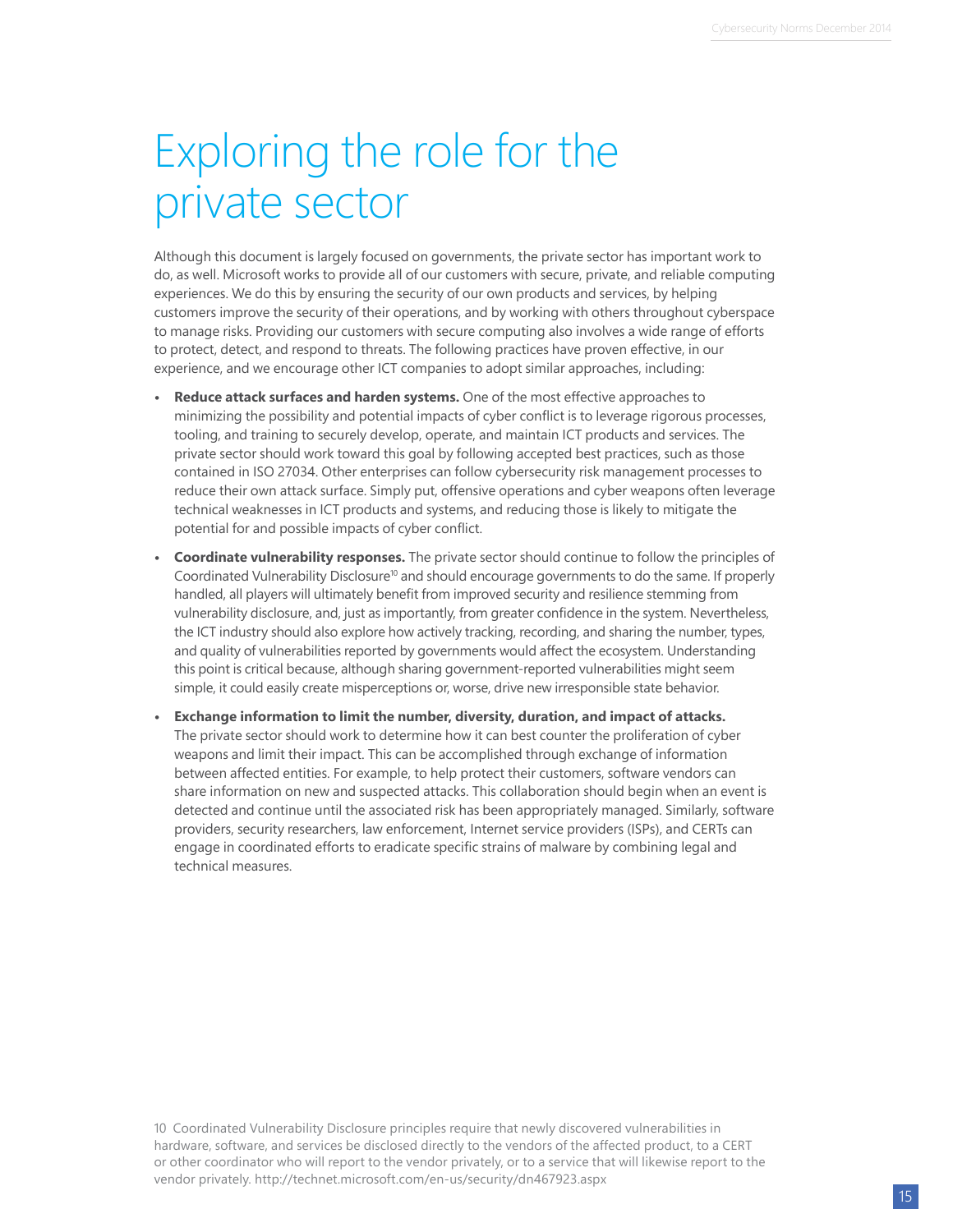### Exploring the role for the private sector

Although this document is largely focused on governments, the private sector has important work to do, as well. Microsoft works to provide all of our customers with secure, private, and reliable computing experiences. We do this by ensuring the security of our own products and services, by helping customers improve the security of their operations, and by working with others throughout cyberspace to manage risks. Providing our customers with secure computing also involves a wide range of efforts to protect, detect, and respond to threats. The following practices have proven effective, in our experience, and we encourage other ICT companies to adopt similar approaches, including:

- **• Reduce attack surfaces and harden systems.** One of the most effective approaches to minimizing the possibility and potential impacts of cyber conflict is to leverage rigorous processes, tooling, and training to securely develop, operate, and maintain ICT products and services. The private sector should work toward this goal by following accepted best practices, such as those contained in ISO 27034. Other enterprises can follow cybersecurity risk management processes to reduce their own attack surface. Simply put, offensive operations and cyber weapons often leverage technical weaknesses in ICT products and systems, and reducing those is likely to mitigate the potential for and possible impacts of cyber conflict.
- **• Coordinate vulnerability responses.** The private sector should continue to follow the principles of Coordinated Vulnerability Disclosure<sup>10</sup> and should encourage governments to do the same. If properly handled, all players will ultimately benefit from improved security and resilience stemming from vulnerability disclosure, and, just as importantly, from greater confidence in the system. Nevertheless, the ICT industry should also explore how actively tracking, recording, and sharing the number, types, and quality of vulnerabilities reported by governments would affect the ecosystem. Understanding this point is critical because, although sharing government-reported vulnerabilities might seem simple, it could easily create misperceptions or, worse, drive new irresponsible state behavior.
- **• Exchange information to limit the number, diversity, duration, and impact of attacks.**  The private sector should work to determine how it can best counter the proliferation of cyber weapons and limit their impact. This can be accomplished through exchange of information between affected entities. For example, to help protect their customers, software vendors can share information on new and suspected attacks. This collaboration should begin when an event is detected and continue until the associated risk has been appropriately managed. Similarly, software providers, security researchers, law enforcement, Internet service providers (ISPs), and CERTs can engage in coordinated efforts to eradicate specific strains of malware by combining legal and technical measures.

10 Coordinated Vulnerability Disclosure principles require that newly discovered vulnerabilities in hardware, software, and services be disclosed directly to the vendors of the affected product, to a CERT or other coordinator who will report to the vendor privately, or to a service that will likewise report to the vendor privately. <http://technet.microsoft.com/en-us/security/dn467923.aspx>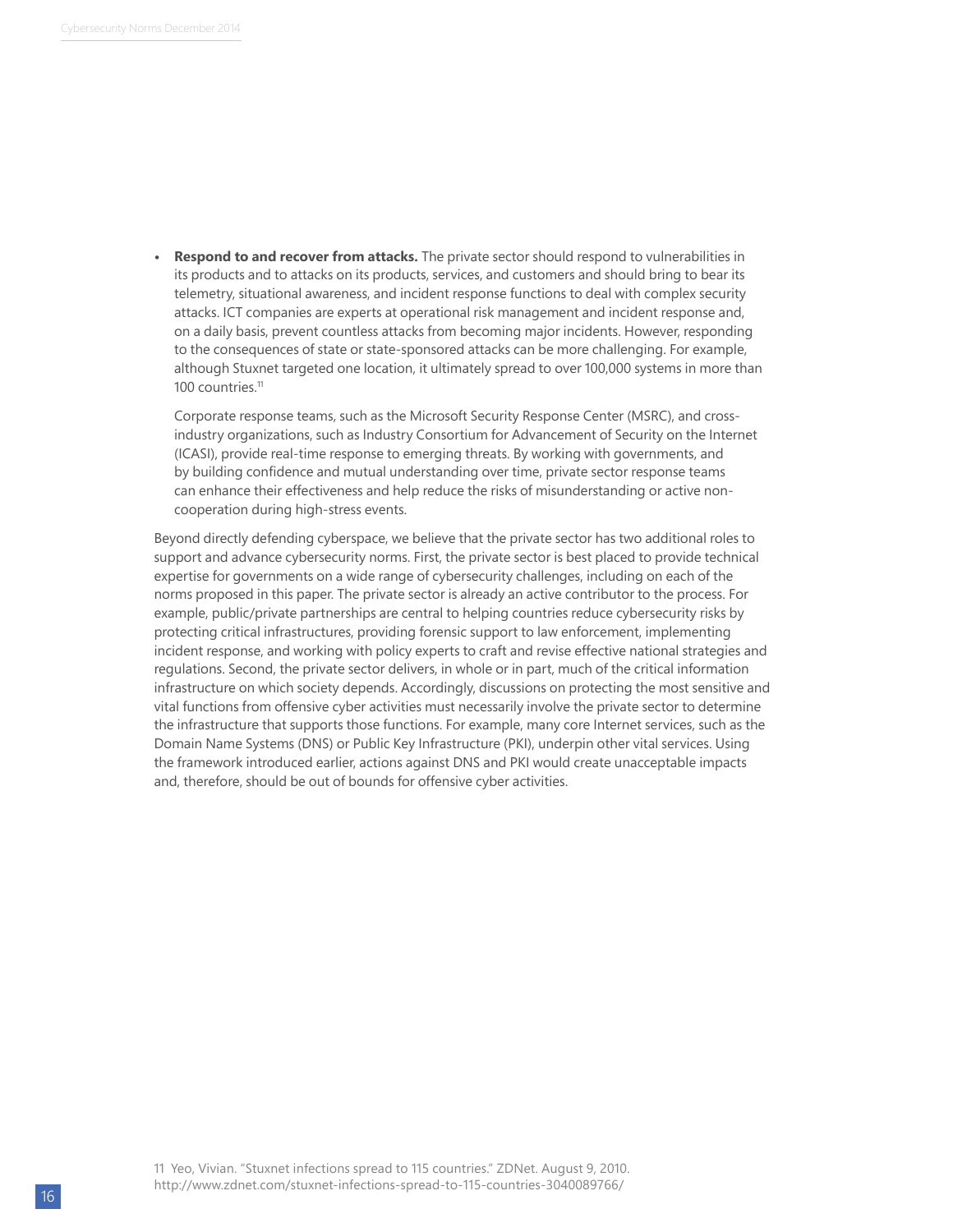**• Respond to and recover from attacks.** The private sector should respond to vulnerabilities in its products and to attacks on its products, services, and customers and should bring to bear its telemetry, situational awareness, and incident response functions to deal with complex security attacks. ICT companies are experts at operational risk management and incident response and, on a daily basis, prevent countless attacks from becoming major incidents. However, responding to the consequences of state or state-sponsored attacks can be more challenging. For example, although Stuxnet targeted one location, it ultimately spread to over 100,000 systems in more than 100 countries.<sup>11</sup>

Corporate response teams, such as the Microsoft Security Response Center (MSRC), and crossindustry organizations, such as Industry Consortium for Advancement of Security on the Internet (ICASI), provide real-time response to emerging threats. By working with governments, and by building confidence and mutual understanding over time, private sector response teams can enhance their effectiveness and help reduce the risks of misunderstanding or active noncooperation during high-stress events.

Beyond directly defending cyberspace, we believe that the private sector has two additional roles to support and advance cybersecurity norms. First, the private sector is best placed to provide technical expertise for governments on a wide range of cybersecurity challenges, including on each of the norms proposed in this paper. The private sector is already an active contributor to the process. For example, public/private partnerships are central to helping countries reduce cybersecurity risks by protecting critical infrastructures, providing forensic support to law enforcement, implementing incident response, and working with policy experts to craft and revise effective national strategies and regulations. Second, the private sector delivers, in whole or in part, much of the critical information infrastructure on which society depends. Accordingly, discussions on protecting the most sensitive and vital functions from offensive cyber activities must necessarily involve the private sector to determine the infrastructure that supports those functions. For example, many core Internet services, such as the Domain Name Systems (DNS) or Public Key Infrastructure (PKI), underpin other vital services. Using the framework introduced earlier, actions against DNS and PKI would create unacceptable impacts and, therefore, should be out of bounds for offensive cyber activities.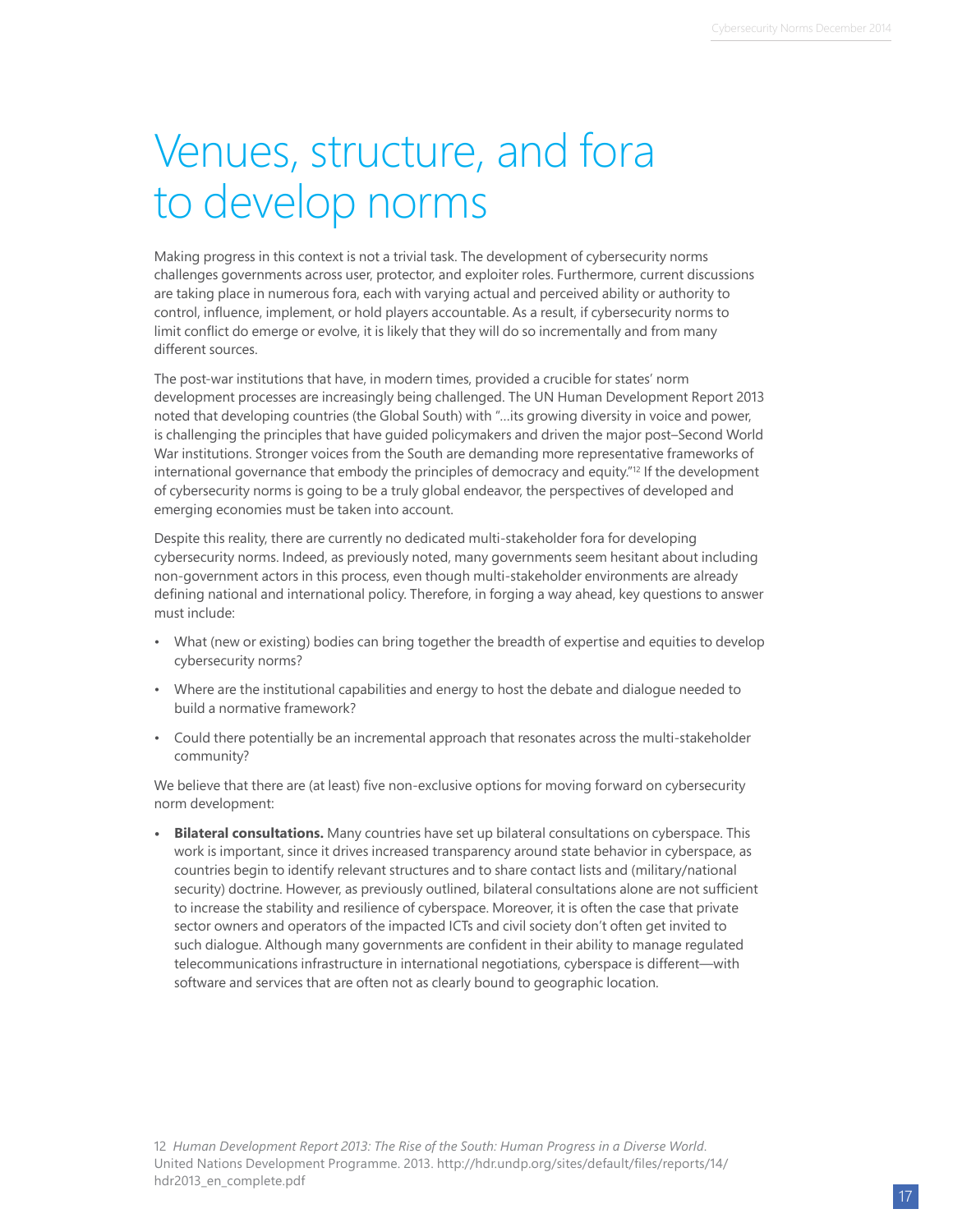### Venues, structure, and fora to develop norms

Making progress in this context is not a trivial task. The development of cybersecurity norms challenges governments across user, protector, and exploiter roles. Furthermore, current discussions are taking place in numerous fora, each with varying actual and perceived ability or authority to control, influence, implement, or hold players accountable. As a result, if cybersecurity norms to limit conflict do emerge or evolve, it is likely that they will do so incrementally and from many different sources.

The post-war institutions that have, in modern times, provided a crucible for states' norm development processes are increasingly being challenged. The UN Human Development Report 2013 noted that developing countries (the Global South) with "…its growing diversity in voice and power, is challenging the principles that have guided policymakers and driven the major post–Second World War institutions. Stronger voices from the South are demanding more representative frameworks of international governance that embody the principles of democracy and equity."12 If the development of cybersecurity norms is going to be a truly global endeavor, the perspectives of developed and emerging economies must be taken into account.

Despite this reality, there are currently no dedicated multi-stakeholder fora for developing cybersecurity norms. Indeed, as previously noted, many governments seem hesitant about including non-government actors in this process, even though multi-stakeholder environments are already defining national and international policy. Therefore, in forging a way ahead, key questions to answer must include:

- What (new or existing) bodies can bring together the breadth of expertise and equities to develop cybersecurity norms?
- Where are the institutional capabilities and energy to host the debate and dialogue needed to build a normative framework?
- Could there potentially be an incremental approach that resonates across the multi-stakeholder community?

We believe that there are (at least) five non-exclusive options for moving forward on cybersecurity norm development:

**• Bilateral consultations.** Many countries have set up bilateral consultations on cyberspace. This work is important, since it drives increased transparency around state behavior in cyberspace, as countries begin to identify relevant structures and to share contact lists and (military/national security) doctrine. However, as previously outlined, bilateral consultations alone are not sufficient to increase the stability and resilience of cyberspace. Moreover, it is often the case that private sector owners and operators of the impacted ICTs and civil society don't often get invited to such dialogue. Although many governments are confident in their ability to manage regulated telecommunications infrastructure in international negotiations, cyberspace is different—with software and services that are often not as clearly bound to geographic location.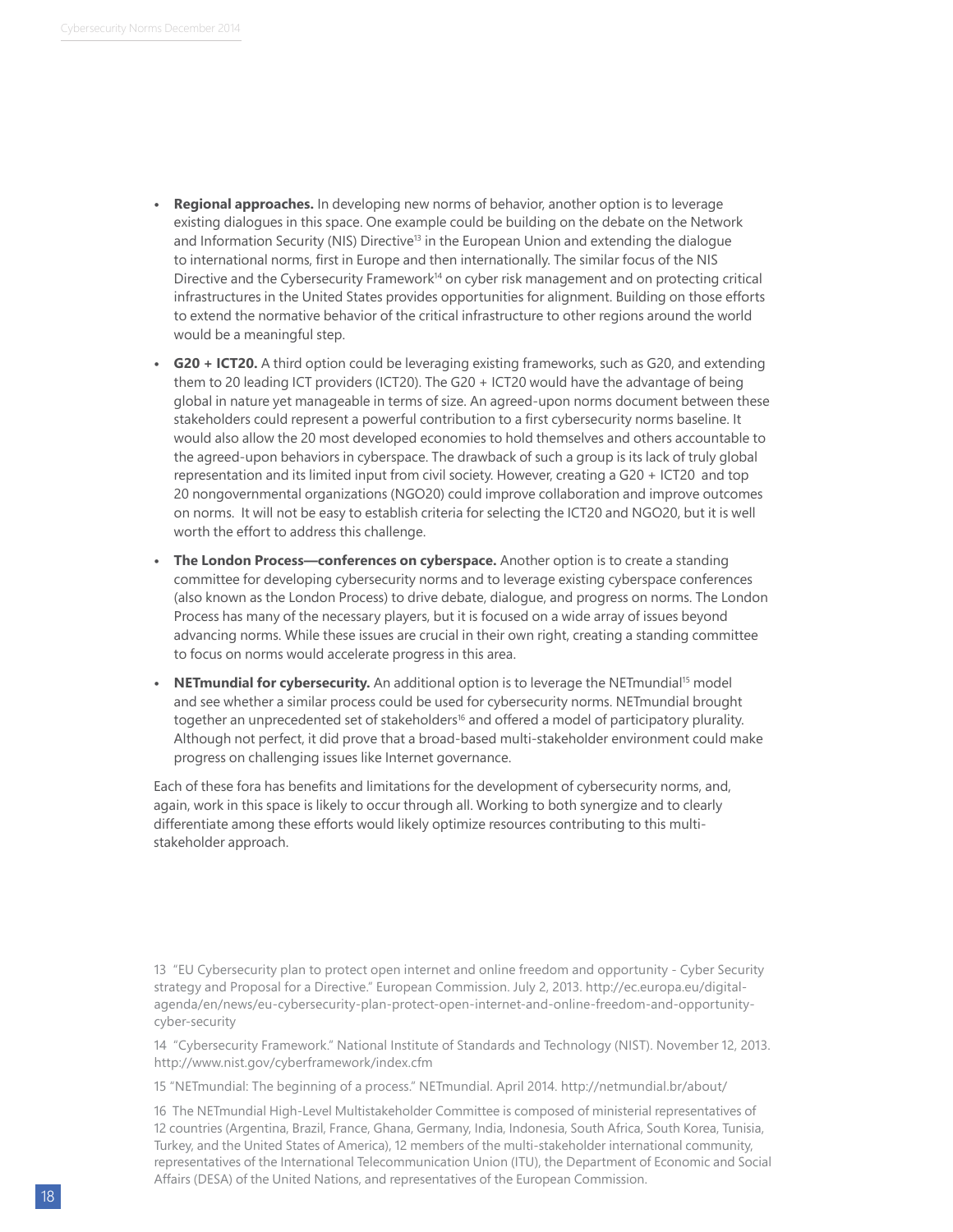- **• Regional approaches.** In developing new norms of behavior, another option is to leverage existing dialogues in this space. One example could be building on the debate on the Network and Information Security (NIS) Directive<sup>13</sup> in the European Union and extending the dialogue to international norms, first in Europe and then internationally. The similar focus of the NIS Directive and the Cybersecurity Framework $14$  on cyber risk management and on protecting critical infrastructures in the United States provides opportunities for alignment. Building on those efforts to extend the normative behavior of the critical infrastructure to other regions around the world would be a meaningful step.
- **• G20 + ICT20.** A third option could be leveraging existing frameworks, such as G20, and extending them to 20 leading ICT providers (ICT20). The G20 + ICT20 would have the advantage of being global in nature yet manageable in terms of size. An agreed-upon norms document between these stakeholders could represent a powerful contribution to a first cybersecurity norms baseline. It would also allow the 20 most developed economies to hold themselves and others accountable to the agreed-upon behaviors in cyberspace. The drawback of such a group is its lack of truly global representation and its limited input from civil society. However, creating a G20 + ICT20 and top 20 nongovernmental organizations (NGO20) could improve collaboration and improve outcomes on norms. It will not be easy to establish criteria for selecting the ICT20 and NGO20, but it is well worth the effort to address this challenge.
- **• The London Process—conferences on cyberspace.** Another option is to create a standing committee for developing cybersecurity norms and to leverage existing cyberspace conferences (also known as the London Process) to drive debate, dialogue, and progress on norms. The London Process has many of the necessary players, but it is focused on a wide array of issues beyond advancing norms. While these issues are crucial in their own right, creating a standing committee to focus on norms would accelerate progress in this area.
- **NETmundial for cybersecurity.** An additional option is to leverage the NETmundial<sup>15</sup> model and see whether a similar process could be used for cybersecurity norms. NETmundial brought together an unprecedented set of stakeholders<sup>16</sup> and offered a model of participatory plurality. Although not perfect, it did prove that a broad-based multi-stakeholder environment could make progress on challenging issues like Internet governance.

Each of these fora has benefits and limitations for the development of cybersecurity norms, and, again, work in this space is likely to occur through all. Working to both synergize and to clearly differentiate among these efforts would likely optimize resources contributing to this multistakeholder approach.

13 "EU Cybersecurity plan to protect open internet and online freedom and opportunity - Cyber Security strategy and Proposal for a Directive." European Commission. July 2, 2013. [http://ec.europa.eu/digital](http://ec.europa.eu/digital-agenda/en/news/eu-cybersecurity-plan-protect-open-internet-and-online-freedom-and-opportunity-cyber-security)[agenda/en/news/eu-cybersecurity-plan-protect-open-internet-and-online-freedom-and-opportunity](http://ec.europa.eu/digital-agenda/en/news/eu-cybersecurity-plan-protect-open-internet-and-online-freedom-and-opportunity-cyber-security)[cyber-security](http://ec.europa.eu/digital-agenda/en/news/eu-cybersecurity-plan-protect-open-internet-and-online-freedom-and-opportunity-cyber-security)

14 "Cybersecurity Framework." National Institute of Standards and Technology (NIST). November 12, 2013. <http://www.nist.gov/cyberframework/index.cfm>

15 "NETmundial: The beginning of a process." NETmundial. April 2014.<http://netmundial.br/about/>

16 The NETmundial High-Level Multistakeholder Committee is composed of ministerial representatives of 12 countries (Argentina, Brazil, France, Ghana, Germany, India, Indonesia, South Africa, South Korea, Tunisia, Turkey, and the United States of America), 12 members of the multi-stakeholder international community, representatives of the International Telecommunication Union (ITU), the Department of Economic and Social Affairs (DESA) of the United Nations, and representatives of the European Commission.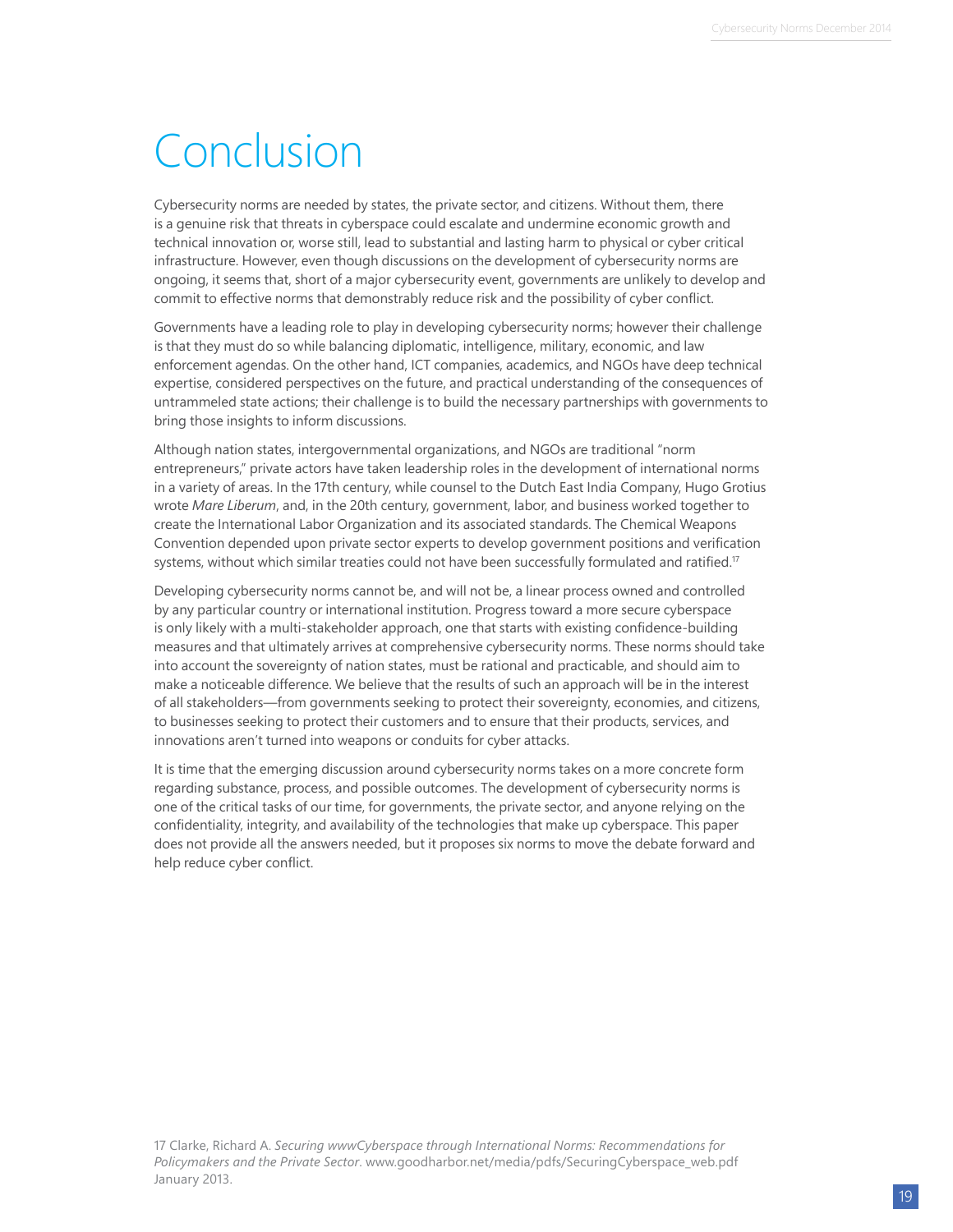### Conclusion

Cybersecurity norms are needed by states, the private sector, and citizens. Without them, there is a genuine risk that threats in cyberspace could escalate and undermine economic growth and technical innovation or, worse still, lead to substantial and lasting harm to physical or cyber critical infrastructure. However, even though discussions on the development of cybersecurity norms are ongoing, it seems that, short of a major cybersecurity event, governments are unlikely to develop and commit to effective norms that demonstrably reduce risk and the possibility of cyber conflict.

Governments have a leading role to play in developing cybersecurity norms; however their challenge is that they must do so while balancing diplomatic, intelligence, military, economic, and law enforcement agendas. On the other hand, ICT companies, academics, and NGOs have deep technical expertise, considered perspectives on the future, and practical understanding of the consequences of untrammeled state actions; their challenge is to build the necessary partnerships with governments to bring those insights to inform discussions.

Although nation states, intergovernmental organizations, and NGOs are traditional "norm entrepreneurs," private actors have taken leadership roles in the development of international norms in a variety of areas. In the 17th century, while counsel to the Dutch East India Company, Hugo Grotius wrote *Mare Liberum*, and, in the 20th century, government, labor, and business worked together to create the International Labor Organization and its associated standards. The Chemical Weapons Convention depended upon private sector experts to develop government positions and verification systems, without which similar treaties could not have been successfully formulated and ratified.<sup>17</sup>

Developing cybersecurity norms cannot be, and will not be, a linear process owned and controlled by any particular country or international institution. Progress toward a more secure cyberspace is only likely with a multi-stakeholder approach, one that starts with existing confidence-building measures and that ultimately arrives at comprehensive cybersecurity norms. These norms should take into account the sovereignty of nation states, must be rational and practicable, and should aim to make a noticeable difference. We believe that the results of such an approach will be in the interest of all stakeholders—from governments seeking to protect their sovereignty, economies, and citizens, to businesses seeking to protect their customers and to ensure that their products, services, and innovations aren't turned into weapons or conduits for cyber attacks.

It is time that the emerging discussion around cybersecurity norms takes on a more concrete form regarding substance, process, and possible outcomes. The development of cybersecurity norms is one of the critical tasks of our time, for governments, the private sector, and anyone relying on the confidentiality, integrity, and availability of the technologies that make up cyberspace. This paper does not provide all the answers needed, but it proposes six norms to move the debate forward and help reduce cyber conflict.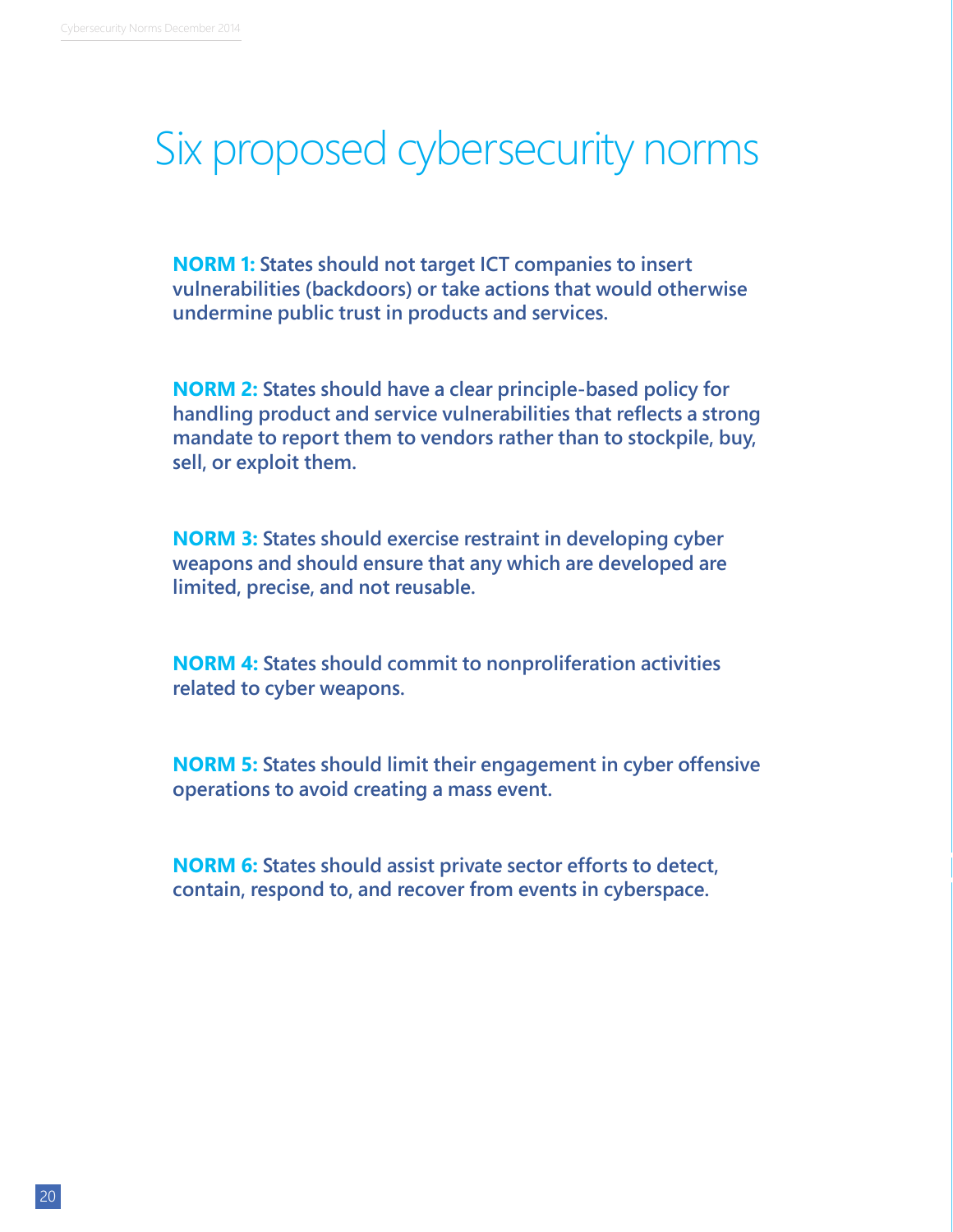### Six proposed cybersecurity norms

**NORM 1: States should not target ICT companies to insert vulnerabilities (backdoors) or take actions that would otherwise undermine public trust in products and services.** 

**NORM 2: States should have a clear principle-based policy for handling product and service vulnerabilities that reflects a strong mandate to report them to vendors rather than to stockpile, buy, sell, or exploit them.** 

**NORM 3: States should exercise restraint in developing cyber weapons and should ensure that any which are developed are limited, precise, and not reusable.** 

**NORM 4: States should commit to nonproliferation activities related to cyber weapons.**

**NORM 5: States should limit their engagement in cyber offensive operations to avoid creating a mass event.** 

**NORM 6: States should assist private sector efforts to detect, contain, respond to, and recover from events in cyberspace.**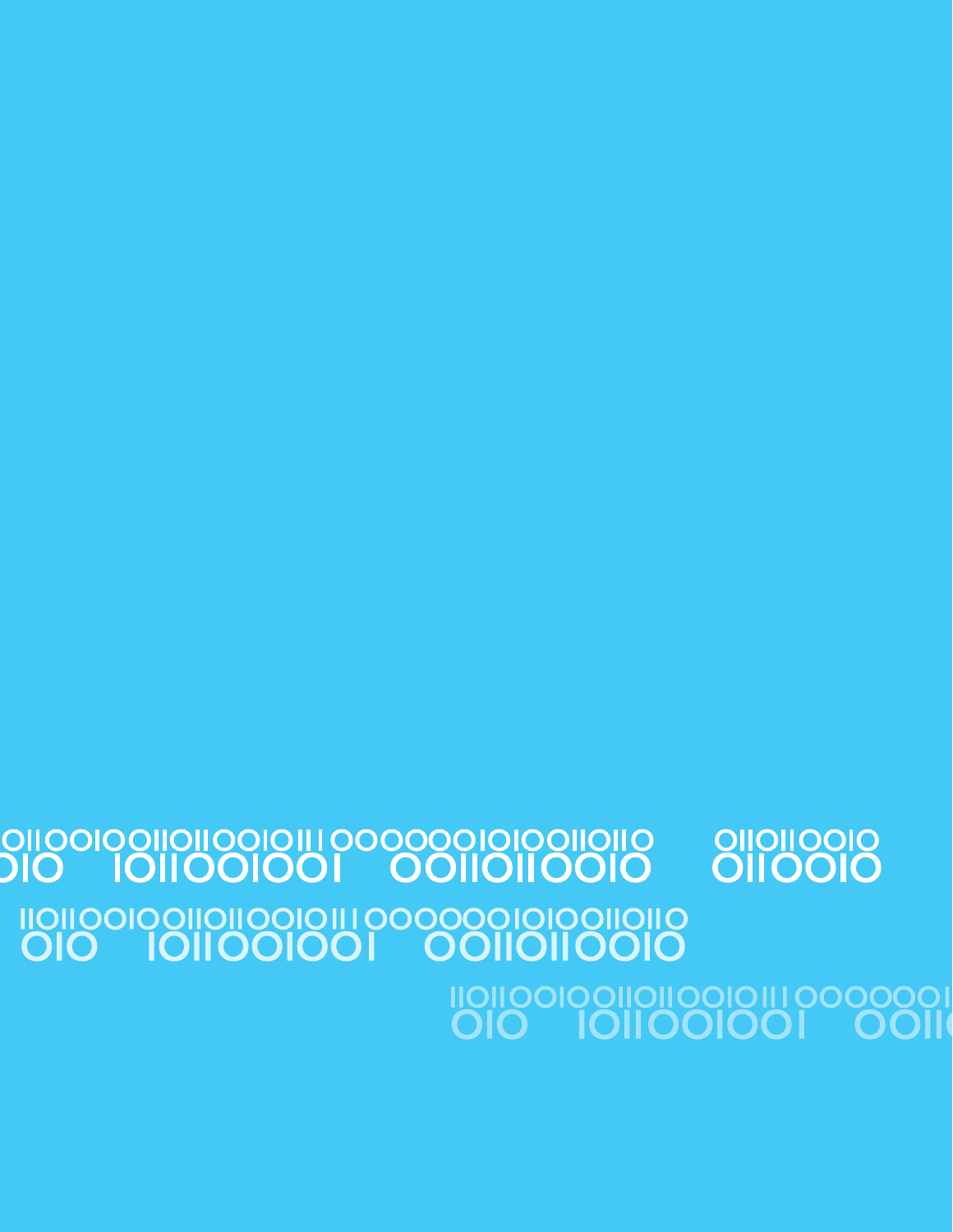### **OIIOIIOOIO** DIO CONDICIONAL CONDICIONAL CONDICIONAL CONDUCTION OF CONDICIONAL CONDICIONAL CONDICIONAL CONDICIONAL CONDICIO<br>CONDICIONAL CONDICIONAL CONDICIONAL CONDICIONAL CONDICIONAL CONDICIONAL CONDICIONAL CONDICIONAL CONDICIONAL CO <u>IIOIIOOIOOIIOIIOOIOIII OOOOOOI</u> **IOIIOOIOOI** OOIK OIO **D**